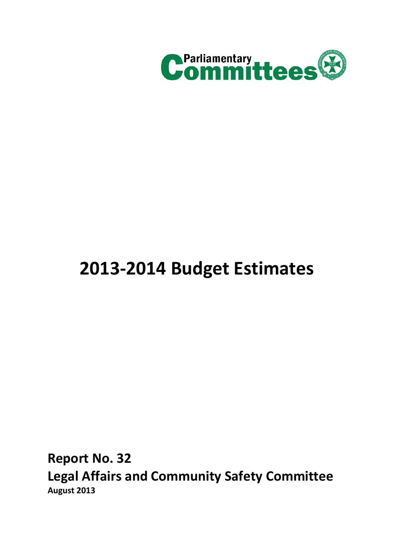

# **2013-2014 Budget Estimates**

<span id="page-0-0"></span>**Report No. 32 Legal Affairs and Community Safety Committee August 2013**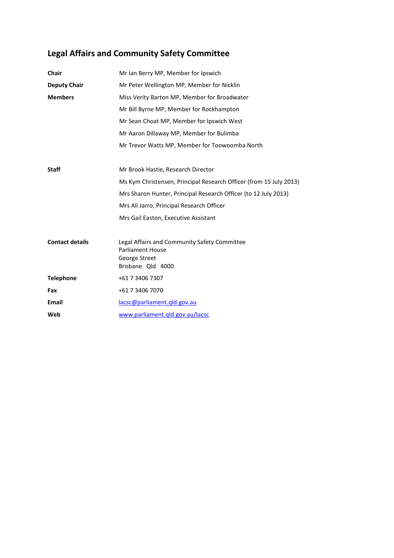# **[Legal Affairs and Community Safety Committee](#page-0-0)**

| <b>Chair</b>           | Mr Ian Berry MP, Member for Ipswich                                |
|------------------------|--------------------------------------------------------------------|
| <b>Deputy Chair</b>    | Mr Peter Wellington MP, Member for Nicklin                         |
| <b>Members</b>         | Miss Verity Barton MP, Member for Broadwater                       |
|                        | Mr Bill Byrne MP, Member for Rockhampton                           |
|                        | Mr Sean Choat MP, Member for Ipswich West                          |
|                        | Mr Aaron Dillaway MP, Member for Bulimba                           |
|                        | Mr Trevor Watts MP, Member for Toowoomba North                     |
|                        |                                                                    |
| <b>Staff</b>           | Mr Brook Hastie, Research Director                                 |
|                        | Ms Kym Christensen, Principal Research Officer (from 15 July 2013) |
|                        | Mrs Sharon Hunter, Principal Research Officer (to 12 July 2013)    |
|                        | Mrs Ali Jarro, Principal Research Officer                          |
|                        | Mrs Gail Easton, Executive Assistant                               |
|                        |                                                                    |
| <b>Contact details</b> | Legal Affairs and Community Safety Committee                       |
|                        | <b>Parliament House</b><br>George Street                           |
|                        | Brisbane Qld 4000                                                  |
| <b>Telephone</b>       | +61 7 3406 7307                                                    |
| Fax                    | +61 7 3406 7070                                                    |
| <b>Email</b>           | lacsc@parliament.qld.gov.au                                        |
| Web                    | www.parliament.qld.gov.au/lacsc                                    |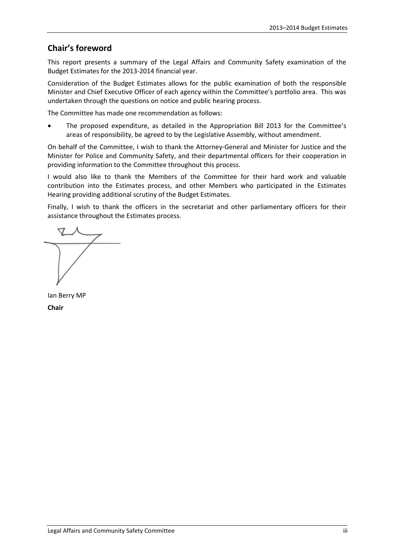## **Chair's foreword**

This report presents a summary of the Legal Affairs and Community Safety examination of the Budget Estimates for the 2013-2014 financial year.

Consideration of the Budget Estimates allows for the public examination of both the responsible Minister and Chief Executive Officer of each agency within the Committee's portfolio area. This was undertaken through the questions on notice and public hearing process.

The Committee has made one recommendation as follows:

• The proposed expenditure, as detailed in the Appropriation Bill 2013 for the Committee's areas of responsibility, be agreed to by the Legislative Assembly, without amendment.

On behalf of the Committee, I wish to thank the Attorney-General and Minister for Justice and the Minister for Police and Community Safety, and their departmental officers for their cooperation in providing information to the Committee throughout this process.

I would also like to thank the Members of the Committee for their hard work and valuable contribution into the Estimates process, and other Members who participated in the Estimates Hearing providing additional scrutiny of the Budget Estimates.

Finally, I wish to thank the officers in the secretariat and other parliamentary officers for their assistance throughout the Estimates process.

Ian Berry MP **Chair**

Legal Affairs and Community Safety Committee iii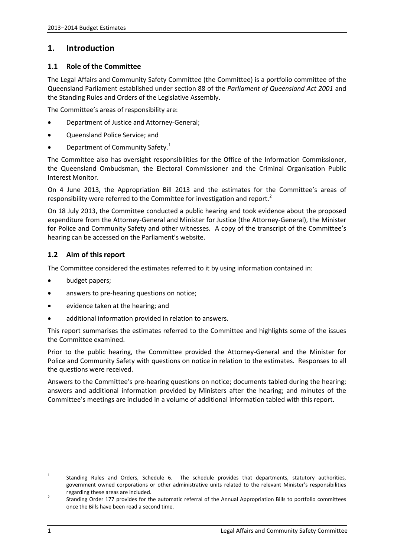## **1. Introduction**

#### **1.1 Role of the Committee**

The Legal Affairs and Community Safety Committee (the Committee) is a portfolio committee of the Queensland Parliament established under section 88 of the *Parliament of Queensland Act 2001* and the Standing Rules and Orders of the Legislative Assembly.

The Committee's areas of responsibility are:

- Department of Justice and Attorney-General;
- Queensland Police Service; and
- Department of Community Safety.<sup>[1](#page-3-0)</sup>

The Committee also has oversight responsibilities for the Office of the Information Commissioner, the Queensland Ombudsman, the Electoral Commissioner and the Criminal Organisation Public Interest Monitor.

On 4 June 2013, the Appropriation Bill 2013 and the estimates for the Committee's areas of responsibility were referred to the Committee for investigation and report.<sup>[2](#page-3-1)</sup>

On 18 July 2013, the Committee conducted a public hearing and took evidence about the proposed expenditure from the Attorney-General and Minister for Justice (the Attorney-General), the Minister for Police and Community Safety and other witnesses. A copy of the transcript of the Committee's hearing can be accessed on the Parliament's website.

#### **1.2 Aim of this report**

The Committee considered the estimates referred to it by using information contained in:

- budget papers;
- answers to pre-hearing questions on notice;
- evidence taken at the hearing; and
- additional information provided in relation to answers.

This report summarises the estimates referred to the Committee and highlights some of the issues the Committee examined.

Prior to the public hearing, the Committee provided the Attorney-General and the Minister for Police and Community Safety with questions on notice in relation to the estimates. Responses to all the questions were received.

Answers to the Committee's pre-hearing questions on notice; documents tabled during the hearing; answers and additional information provided by Ministers after the hearing; and minutes of the Committee's meetings are included in a volume of additional information tabled with this report.

<span id="page-3-0"></span><sup>&</sup>lt;sup>1</sup> Standing Rules and Orders, Schedule 6. The schedule provides that departments, statutory authorities, government owned corporations or other administrative units related to the relevant Minister's responsibilities

<span id="page-3-1"></span>regarding these areas are included.<br>2 Standing Order 177 provides for the automatic referral of the Annual Appropriation Bills to portfolio committees once the Bills have been read a second time.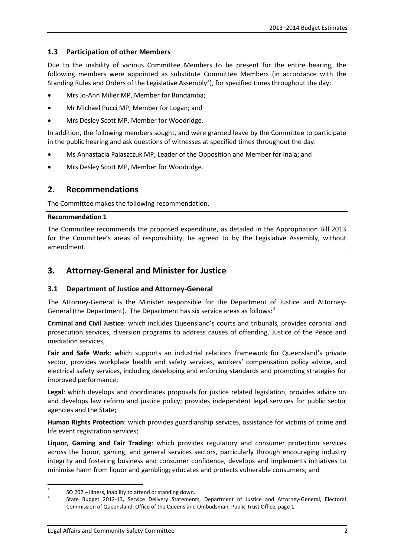#### **1.3 Participation of other Members**

Due to the inability of various Committee Members to be present for the entire hearing, the following members were appointed as substitute Committee Members (in accordance with the Standing Rules and Orders of the Legislative Assembly<sup>[3](#page-4-0)</sup>), for specified times throughout the day:

- Mrs Jo-Ann Miller MP, Member for Bundamba;
- Mr Michael Pucci MP, Member for Logan; and
- Mrs Desley Scott MP, Member for Woodridge.

In addition, the following members sought, and were granted leave by the Committee to participate in the public hearing and ask questions of witnesses at specified times throughout the day:

- Ms Annastacia Palaszczuk MP, Leader of the Opposition and Member for Inala; and
- Mrs Desley Scott MP, Member for Woodridge.

## **2. Recommendations**

The Committee makes the following recommendation.

#### **Recommendation 1**

The Committee recommends the proposed expenditure, as detailed in the Appropriation Bill 2013 for the Committee's areas of responsibility, be agreed to by the Legislative Assembly, without amendment.

## **3. Attorney-General and Minister for Justice**

#### **3.1 Department of Justice and Attorney-General**

The Attorney-General is the Minister responsible for the Department of Justice and Attorney-General (the Department). The Department has six service areas as follows:<sup>[4](#page-4-1)</sup>

**Criminal and Civil Justice**: which includes Queensland's courts and tribunals, provides coronial and prosecution services, diversion programs to address causes of offending, Justice of the Peace and mediation services;

**Fair and Safe Work**: which supports an industrial relations framework for Queensland's private sector, provides workplace health and safety services, workers' compensation policy advice, and electrical safety services, including developing and enforcing standards and promoting strategies for improved performance;

**Legal**: which develops and coordinates proposals for justice related legislation, provides advice on and develops law reform and justice policy; provides independent legal services for public sector agencies and the State;

**Human Rights Protection**: which provides guardianship services, assistance for victims of crime and life event registration services;

**Liquor, Gaming and Fair Trading**: which provides regulatory and consumer protection services across the liquor, gaming, and general services sectors, particularly through encouraging industry integrity and fostering business and consumer confidence, develops and implements initiatives to minimise harm from liquor and gambling; educates and protects vulnerable consumers; and

<span id="page-4-1"></span><span id="page-4-0"></span><sup>3</sup> SO 202 – Illness, inability to attend or standing down.<br>4 State Budget 2012-13, Service Delivery Statements, Department of Justice and Attorney-General, Electoral Commission of Queensland, Office of the Queensland Ombudsman, Public Trust Office, page 1.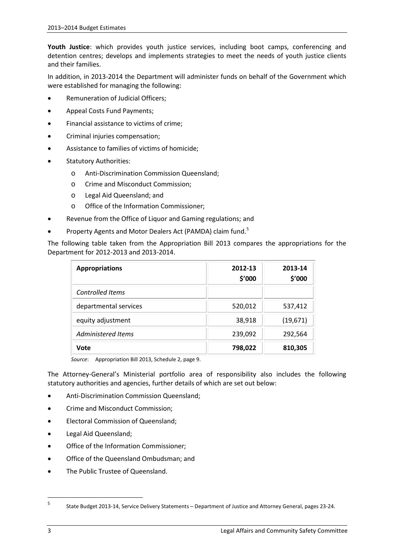**Youth Justice**: which provides youth justice services, including boot camps, conferencing and detention centres; develops and implements strategies to meet the needs of youth justice clients and their families.

In addition, in 2013-2014 the Department will administer funds on behalf of the Government which were established for managing the following:

- Remuneration of Judicial Officers;
- Appeal Costs Fund Payments;
- Financial assistance to victims of crime;
- Criminal injuries compensation;
- Assistance to families of victims of homicide;
- Statutory Authorities:
	- o Anti-Discrimination Commission Queensland;
	- o Crime and Misconduct Commission;
	- o Legal Aid Queensland; and
	- o Office of the Information Commissioner;
- Revenue from the Office of Liquor and Gaming regulations; and
- Property Agents and Motor Dealers Act (PAMDA) claim fund.<sup>[5](#page-5-0)</sup>

The following table taken from the Appropriation Bill 2013 compares the appropriations for the Department for 2012-2013 and 2013-2014.

| <b>Appropriations</b>     | 2012-13<br>\$'000 | 2013-14<br>\$'000 |
|---------------------------|-------------------|-------------------|
| <b>Controlled Items</b>   |                   |                   |
| departmental services     | 520,012           | 537,412           |
| equity adjustment         | 38,918            | (19,671)          |
| <b>Administered Items</b> | 239,092           | 292,564           |
| Vote                      | 798,022           | 810,305           |

*Source*: Appropriation Bill 2013, Schedule 2, page 9.

The Attorney-General's Ministerial portfolio area of responsibility also includes the following statutory authorities and agencies, further details of which are set out below:

- Anti-Discrimination Commission Queensland;
- Crime and Misconduct Commission;
- Electoral Commission of Queensland;
- Legal Aid Queensland;
- Office of the Information Commissioner;
- Office of the Queensland Ombudsman; and
- The Public Trustee of Queensland.

<span id="page-5-0"></span> $\sf 5$ <sup>5</sup> State Budget 2013-14, Service Delivery Statements – Department of Justice and Attorney General, pages 23-24.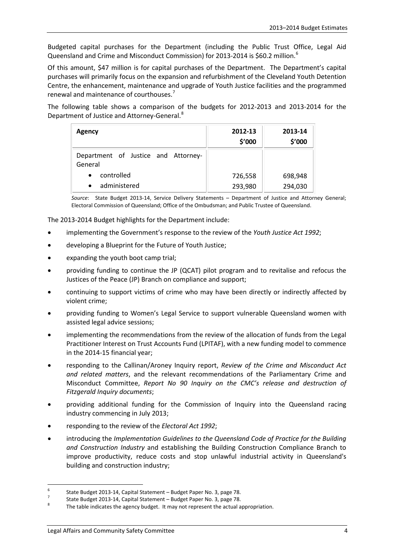Budgeted capital purchases for the Department (including the Public Trust Office, Legal Aid Queensland and Crime and Misconduct Commission) for 2013-2014 is \$[6](#page-6-0)0.2 million.<sup>6</sup>

Of this amount, \$47 million is for capital purchases of the Department. The Department's capital purchases will primarily focus on the expansion and refurbishment of the Cleveland Youth Detention Centre, the enhancement, maintenance and upgrade of Youth Justice facilities and the programmed renewal and maintenance of courthouses.[7](#page-6-1)

The following table shows a comparison of the budgets for 2012-2013 and 2013-2014 for the Department of Justice and Attorney-General.<sup>[8](#page-6-2)</sup>

| Agency                                         | 2012-13<br>\$'000 | 2013-14<br>\$'000 |
|------------------------------------------------|-------------------|-------------------|
| Department of Justice and Attorney-<br>General |                   |                   |
| controlled<br>$\bullet$                        | 726,558           | 698,948           |
| administered<br>$\bullet$                      | 293,980           | 294,030           |

*Source*: State Budget 2013-14, Service Delivery Statements – Department of Justice and Attorney General; Electoral Commission of Queensland; Office of the Ombudsman; and Public Trustee of Queensland.

The 2013-2014 Budget highlights for the Department include:

- implementing the Government's response to the review of the *Youth Justice Act 1992*;
- developing a Blueprint for the Future of Youth Justice;
- expanding the youth boot camp trial;
- providing funding to continue the JP (QCAT) pilot program and to revitalise and refocus the Justices of the Peace (JP) Branch on compliance and support;
- continuing to support victims of crime who may have been directly or indirectly affected by violent crime;
- providing funding to Women's Legal Service to support vulnerable Queensland women with assisted legal advice sessions;
- implementing the recommendations from the review of the allocation of funds from the Legal Practitioner Interest on Trust Accounts Fund (LPITAF), with a new funding model to commence in the 2014-15 financial year;
- responding to the Callinan/Aroney Inquiry report, *Review of the Crime and Misconduct Act and related matters*, and the relevant recommendations of the Parliamentary Crime and Misconduct Committee, *Report No 90 Inquiry on the CMC's release and destruction of Fitzgerald Inquiry documents*;
- providing additional funding for the Commission of Inquiry into the Queensland racing industry commencing in July 2013;
- responding to the review of the *Electoral Act 1992*;
- introducing the *Implementation Guidelines to the Queensland Code of Practice for the Building and Construction Industry* and establishing the Building Construction Compliance Branch to improve productivity, reduce costs and stop unlawful industrial activity in Queensland's building and construction industry;

<span id="page-6-2"></span>

<span id="page-6-1"></span><span id="page-6-0"></span><sup>&</sup>lt;sup>6</sup><br>State Budget 2013-14, Capital Statement – Budget Paper No. 3, page 78.<br>State Budget 2013-14, Capital Statement – Budget Paper No. 3, page 78.<br>The table indicates the agency budget. It may not represent the actual appr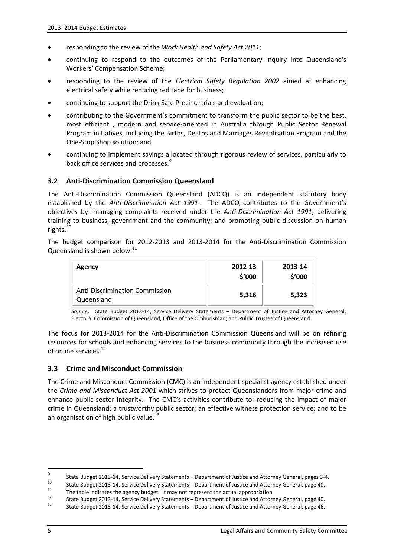- responding to the review of the *Work Health and Safety Act 2011*;
- continuing to respond to the outcomes of the Parliamentary Inquiry into Queensland's Workers' Compensation Scheme;
- responding to the review of the *Electrical Safety Regulation 2002* aimed at enhancing electrical safety while reducing red tape for business;
- continuing to support the Drink Safe Precinct trials and evaluation;
- contributing to the Government's commitment to transform the public sector to be the best, most efficient , modern and service-oriented in Australia through Public Sector Renewal Program initiatives, including the Births, Deaths and Marriages Revitalisation Program and the One-Stop Shop solution; and
- continuing to implement savings allocated through rigorous review of services, particularly to back office services and processes.<sup>[9](#page-7-0)</sup>

#### **3.2 Anti-Discrimination Commission Queensland**

The Anti-Discrimination Commission Queensland (ADCQ) is an independent statutory body established by the *Anti-Discrimination Act 1991*. The ADCQ contributes to the Government's objectives by: managing complaints received under the *Anti-Discrimination Act 1991*; delivering training to business, government and the community; and promoting public discussion on human rights. $10$ 

The budget comparison for 2012-2013 and 2013-2014 for the Anti-Discrimination Commission Queensland is shown below.<sup>[11](#page-7-2)</sup>

| Agency                                              | 2012-13<br>\$'000 | 2013-14<br>\$'000 |
|-----------------------------------------------------|-------------------|-------------------|
| <b>Anti-Discrimination Commission</b><br>Queensland | 5,316             | 5,323             |

*Source*: State Budget 2013-14, Service Delivery Statements – Department of Justice and Attorney General; Electoral Commission of Queensland; Office of the Ombudsman; and Public Trustee of Queensland.

The focus for 2013-2014 for the Anti-Discrimination Commission Queensland will be on refining resources for schools and enhancing services to the business community through the increased use of online services.<sup>[12](#page-7-3)</sup>

#### **3.3 Crime and Misconduct Commission**

The Crime and Misconduct Commission (CMC) is an independent specialist agency established under the *Crime and Misconduct Act 2001* which strives to protect Queenslanders from major crime and enhance public sector integrity. The CMC's activities contribute to: reducing the impact of major crime in Queensland; a trustworthy public sector; an effective witness protection service; and to be an organisation of high public value.<sup>[13](#page-7-4)</sup>

<span id="page-7-0"></span> $\overline{9}$ State Budget 2013-14, Service Delivery Statements – Department of Justice and Attorney General, pages 3-4.

<span id="page-7-2"></span><span id="page-7-1"></span><sup>&</sup>lt;sup>10</sup><br>State Budget 2013-14, Service Delivery Statements – Department of Justice and Attorney General, page 40.<br>The table indicates the agency budget. It may not represent the actual appropriation.<br>State Budget 2013-14, Serv

<span id="page-7-4"></span><span id="page-7-3"></span>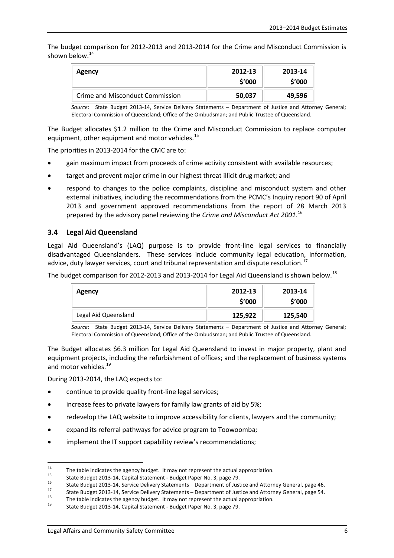The budget comparison for 2012-2013 and 2013-2014 for the Crime and Misconduct Commission is shown below.<sup>[14](#page-8-0)</sup>

| Agency                          | 2012-13<br>\$′000 | 2013-14<br>\$'000 |
|---------------------------------|-------------------|-------------------|
| Crime and Misconduct Commission | 50,037            | 49,596            |

*Source*: State Budget 2013-14, Service Delivery Statements – Department of Justice and Attorney General; Electoral Commission of Queensland; Office of the Ombudsman; and Public Trustee of Queensland.

The Budget allocates \$1.2 million to the Crime and Misconduct Commission to replace computer equipment, other equipment and motor vehicles.<sup>[15](#page-8-1)</sup>

The priorities in 2013-2014 for the CMC are to:

- gain maximum impact from proceeds of crime activity consistent with available resources;
- target and prevent major crime in our highest threat illicit drug market; and
- respond to changes to the police complaints, discipline and misconduct system and other external initiatives, including the recommendations from the PCMC's Inquiry report 90 of April 2013 and government approved recommendations from the report of 28 March 2013 prepared by the advisory panel reviewing the *Crime and Misconduct Act 2001*. [16](#page-8-2)

#### **3.4 Legal Aid Queensland**

Legal Aid Queensland's (LAQ) purpose is to provide front-line legal services to financially disadvantaged Queenslanders. These services include community legal education, information, advice, duty lawyer services, court and tribunal representation and dispute resolution.<sup>[17](#page-8-3)</sup>

The budget comparison for 2012-2013 and 2013-2014 for Legal Aid Queensland is shown below.<sup>[18](#page-8-4)</sup>

| <b>Agency</b>        | 2012-13<br>\$′000 | 2013-14<br>\$'000 |
|----------------------|-------------------|-------------------|
| Legal Aid Queensland | 125,922           | 125,540           |

*Source*: State Budget 2013-14, Service Delivery Statements – Department of Justice and Attorney General; Electoral Commission of Queensland; Office of the Ombudsman; and Public Trustee of Queensland.

The Budget allocates \$6.3 million for Legal Aid Queensland to invest in major property, plant and equipment projects, including the refurbishment of offices; and the replacement of business systems and motor vehicles.<sup>[19](#page-8-5)</sup>

During 2013-2014, the LAQ expects to:

- continue to provide quality front-line legal services;
- increase fees to private lawyers for family law grants of aid by 5%;
- redevelop the LAQ website to improve accessibility for clients, lawyers and the community;
- expand its referral pathways for advice program to Toowoomba;
- implement the IT support capability review's recommendations;

<span id="page-8-2"></span><span id="page-8-1"></span>

<span id="page-8-0"></span><sup>&</sup>lt;sup>14</sup> The table indicates the agency budget. It may not represent the actual appropriation.<br>
<sup>15</sup> State Budget 2013-14, Capital Statement - Budget Paper No. 3, page 79.<br>
State Budget 2013-14, Service Delivery Statements – D

<span id="page-8-4"></span><span id="page-8-3"></span>

<span id="page-8-5"></span>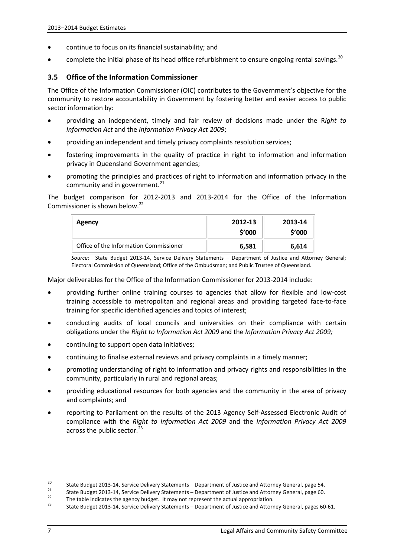- continue to focus on its financial sustainability; and
- complete the initial phase of its head office refurbishment to ensure ongoing rental savings.<sup>[20](#page-9-0)</sup>

#### **3.5 Office of the Information Commissioner**

The Office of the Information Commissioner (OIC) contributes to the Government's objective for the community to restore accountability in Government by fostering better and easier access to public sector information by:

- providing an independent, timely and fair review of decisions made under the R*ight to Information Act* and the *Information Privacy Act 2009*;
- providing an independent and timely privacy complaints resolution services;
- fostering improvements in the quality of practice in right to information and information privacy in Queensland Government agencies;
- promoting the principles and practices of right to information and information privacy in the community and in government. $^{21}$  $^{21}$  $^{21}$

The budget comparison for 2012-2013 and 2013-2014 for the Office of the Information Commissioner is shown below.<sup>[22](#page-9-2)</sup>

| Agency                                 | 2012-13<br>\$'000 | 2013-14<br>\$′000 |
|----------------------------------------|-------------------|-------------------|
| Office of the Information Commissioner | 6,581             | 6,614             |

*Source*: State Budget 2013-14, Service Delivery Statements – Department of Justice and Attorney General; Electoral Commission of Queensland; Office of the Ombudsman; and Public Trustee of Queensland.

Major deliverables for the Office of the Information Commissioner for 2013-2014 include:

- providing further online training courses to agencies that allow for flexible and low-cost training accessible to metropolitan and regional areas and providing targeted face-to-face training for specific identified agencies and topics of interest;
- conducting audits of local councils and universities on their compliance with certain obligations under the *Right to Information Act 2009* and the *Information Privacy Act 2009;*
- continuing to support open data initiatives;
- continuing to finalise external reviews and privacy complaints in a timely manner;
- promoting understanding of right to information and privacy rights and responsibilities in the community, particularly in rural and regional areas;
- providing educational resources for both agencies and the community in the area of privacy and complaints; and
- reporting to Parliament on the results of the 2013 Agency Self-Assessed Electronic Audit of compliance with the *Right to Information Act 2009* and the *Information Privacy Act 2009* across the public sector.<sup>[23](#page-9-3)</sup>

<span id="page-9-1"></span><span id="page-9-0"></span><sup>&</sup>lt;sup>20</sup><br>State Budget 2013-14, Service Delivery Statements – Department of Justice and Attorney General, page 54.<br>State Budget 2013-14, Service Delivery Statements – Department of Justice and Attorney General, page 60.<br>The ta

<span id="page-9-2"></span>

<span id="page-9-3"></span>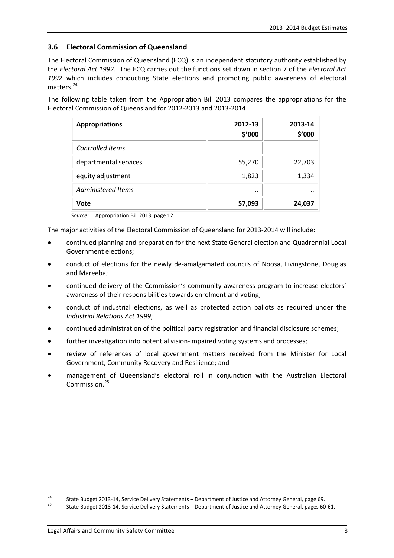#### **3.6 Electoral Commission of Queensland**

The Electoral Commission of Queensland (ECQ) is an independent statutory authority established by the *Electoral Act 1992*. The ECQ carries out the functions set down in section 7 of the *Electoral Act 1992* which includes conducting State elections and promoting public awareness of electoral matters.<sup>[24](#page-10-0)</sup>

The following table taken from the Appropriation Bill 2013 compares the appropriations for the Electoral Commission of Queensland for 2012-2013 and 2013-2014.

| <b>Appropriations</b>   | 2012-13<br>\$'000 | 2013-14<br>\$'000 |
|-------------------------|-------------------|-------------------|
| <b>Controlled Items</b> |                   |                   |
| departmental services   | 55,270            | 22,703            |
| equity adjustment       | 1,823             | 1,334             |
| Administered Items      |                   |                   |
| Vote                    | 57,093            | 24,037            |

*Source:* Appropriation Bill 2013, page 12.

The major activities of the Electoral Commission of Queensland for 2013-2014 will include:

- continued planning and preparation for the next State General election and Quadrennial Local Government elections;
- conduct of elections for the newly de-amalgamated councils of Noosa, Livingstone, Douglas and Mareeba;
- continued delivery of the Commission's community awareness program to increase electors' awareness of their responsibilities towards enrolment and voting;
- conduct of industrial elections, as well as protected action ballots as required under the *Industrial Relations Act 1999*;
- continued administration of the political party registration and financial disclosure schemes;
- further investigation into potential vision-impaired voting systems and processes;
- review of references of local government matters received from the Minister for Local Government, Community Recovery and Resilience; and
- management of Queensland's electoral roll in conjunction with the Australian Electoral Commission.<sup>[25](#page-10-1)</sup>

<span id="page-10-0"></span><sup>&</sup>lt;sup>24</sup> State Budget 2013-14, Service Delivery Statements – Department of Justice and Attorney General, page 69.<br><sup>25</sup> State Budget 2013-14, Service Delivery Statements – Department of Justice and Attorney General, pages 60-6

<span id="page-10-1"></span>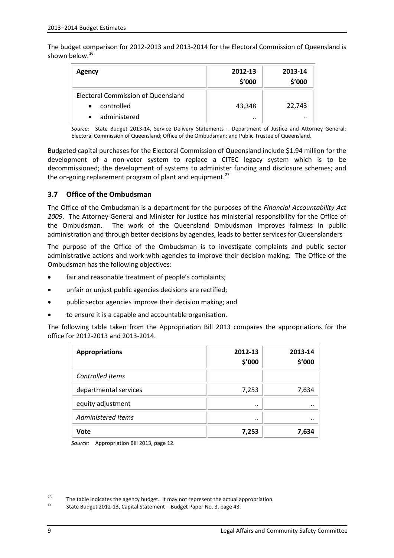The budget comparison for 2012-2013 and 2013-2014 for the Electoral Commission of Queensland is shown below.<sup>[26](#page-11-0)</sup>

| Agency                                    | 2012-13<br>\$'000 | 2013-14<br>\$'000 |
|-------------------------------------------|-------------------|-------------------|
| <b>Electoral Commission of Queensland</b> |                   |                   |
| controlled<br>$\bullet$                   | 43,348            | 22,743            |
| administered                              |                   | $\cdot$ .         |

*Source*: State Budget 2013-14, Service Delivery Statements – Department of Justice and Attorney General; Electoral Commission of Queensland; Office of the Ombudsman; and Public Trustee of Queensland.

Budgeted capital purchases for the Electoral Commission of Queensland include \$1.94 million for the development of a non-voter system to replace a CITEC legacy system which is to be decommissioned; the development of systems to administer funding and disclosure schemes; and the on-going replacement program of plant and equipment.<sup>[27](#page-11-1)</sup>

#### **3.7 Office of the Ombudsman**

The Office of the Ombudsman is a department for the purposes of the *Financial Accountability Act 2009*. The Attorney-General and Minister for Justice has ministerial responsibility for the Office of the Ombudsman. The work of the Queensland Ombudsman improves fairness in public administration and through better decisions by agencies, leads to better services for Queenslanders

The purpose of the Office of the Ombudsman is to investigate complaints and public sector administrative actions and work with agencies to improve their decision making. The Office of the Ombudsman has the following objectives:

- fair and reasonable treatment of people's complaints;
- unfair or unjust public agencies decisions are rectified;
- public sector agencies improve their decision making; and
- to ensure it is a capable and accountable organisation.

The following table taken from the Appropriation Bill 2013 compares the appropriations for the office for 2012-2013 and 2013-2014.

| <b>Appropriations</b>   | 2012-13<br>\$'000 | 2013-14<br>\$'000 |
|-------------------------|-------------------|-------------------|
| <b>Controlled Items</b> |                   |                   |
| departmental services   | 7,253             | 7,634             |
| equity adjustment       |                   |                   |
| Administered Items      |                   |                   |
| Vote                    | 7,253             | 7,634             |

*Source:* Appropriation Bill 2013, page 12.

<span id="page-11-1"></span><span id="page-11-0"></span><sup>&</sup>lt;sup>26</sup> The table indicates the agency budget. It may not represent the actual appropriation.<br><sup>27</sup> State Budget 2012-13, Capital Statement – Budget Paper No. 3, page 43.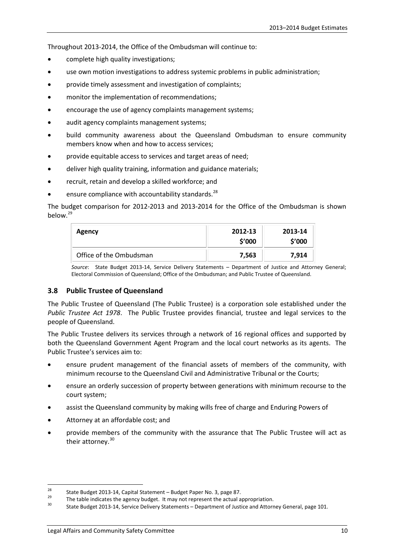Throughout 2013-2014, the Office of the Ombudsman will continue to:

- complete high quality investigations;
- use own motion investigations to address systemic problems in public administration;
- provide timely assessment and investigation of complaints;
- monitor the implementation of recommendations;
- encourage the use of agency complaints management systems;
- audit agency complaints management systems;
- build community awareness about the Queensland Ombudsman to ensure community members know when and how to access services;
- provide equitable access to services and target areas of need;
- deliver high quality training, information and guidance materials;
- recruit, retain and develop a skilled workforce; and
- ensure compliance with accountability standards.<sup>[28](#page-12-0)</sup>

The budget comparison for 2012-2013 and 2013-2014 for the Office of the Ombudsman is shown below.[29](#page-12-1)

| <b>Agency</b>           | 2012-13<br>\$'000 | 2013-14<br>\$'000 |
|-------------------------|-------------------|-------------------|
| Office of the Ombudsman | 7,563             | 7,914             |

*Source*: State Budget 2013-14, Service Delivery Statements – Department of Justice and Attorney General; Electoral Commission of Queensland; Office of the Ombudsman; and Public Trustee of Queensland.

#### **3.8 Public Trustee of Queensland**

The Public Trustee of Queensland (The Public Trustee) is a corporation sole established under the *Public Trustee Act 1978*. The Public Trustee provides financial, trustee and legal services to the people of Queensland.

The Public Trustee delivers its services through a network of 16 regional offices and supported by both the Queensland Government Agent Program and the local court networks as its agents. The Public Trustee's services aim to:

- ensure prudent management of the financial assets of members of the community, with minimum recourse to the Queensland Civil and Administrative Tribunal or the Courts;
- ensure an orderly succession of property between generations with minimum recourse to the court system;
- assist the Queensland community by making wills free of charge and Enduring Powers of
- Attorney at an affordable cost; and
- provide members of the community with the assurance that The Public Trustee will act as their attorney.<sup>[30](#page-12-2)</sup>

<span id="page-12-2"></span><span id="page-12-1"></span><span id="page-12-0"></span><sup>&</sup>lt;sup>28</sup> State Budget 2013-14, Capital Statement – Budget Paper No. 3, page 87.<br><sup>29</sup> The table indicates the agency budget. It may not represent the actual appropriation.<br><sup>30</sup> State Budget 2013-14, Service Delivery Statements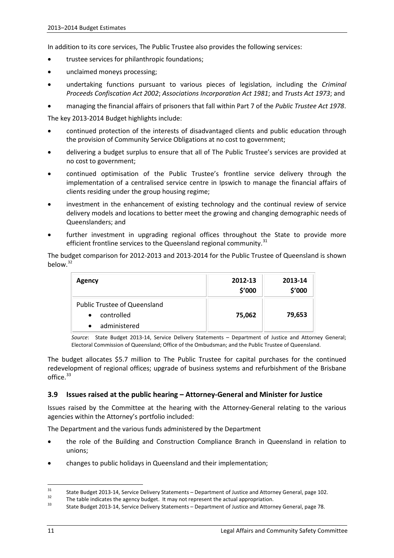In addition to its core services, The Public Trustee also provides the following services:

- trustee services for philanthropic foundations;
- unclaimed moneys processing;
- undertaking functions pursuant to various pieces of legislation, including the *Criminal Proceeds Confiscation Act 2002*; *Associations Incorporation Act 1981*; and *Trusts Act 1973*; and
- managing the financial affairs of prisoners that fall within Part 7 of the *Public Trustee Act 1978*.

The key 2013-2014 Budget highlights include:

- continued protection of the interests of disadvantaged clients and public education through the provision of Community Service Obligations at no cost to government;
- delivering a budget surplus to ensure that all of The Public Trustee's services are provided at no cost to government;
- continued optimisation of the Public Trustee's frontline service delivery through the implementation of a centralised service centre in Ipswich to manage the financial affairs of clients residing under the group housing regime;
- investment in the enhancement of existing technology and the continual review of service delivery models and locations to better meet the growing and changing demographic needs of Queenslanders; and
- further investment in upgrading regional offices throughout the State to provide more efficient frontline services to the Queensland regional community.<sup>[31](#page-13-0)</sup>

The budget comparison for 2012-2013 and 2013-2014 for the Public Trustee of Queensland is shown below.<sup>[32](#page-13-1)</sup>

| Agency                              | 2012-13<br>\$'000 | 2013-14<br>\$'000 |
|-------------------------------------|-------------------|-------------------|
| <b>Public Trustee of Queensland</b> |                   |                   |
| controlled<br>$\bullet$             | 75,062            | 79,653            |
| administered<br>$\bullet$           |                   |                   |

*Source*: State Budget 2013-14, Service Delivery Statements – Department of Justice and Attorney General; Electoral Commission of Queensland; Office of the Ombudsman; and the Public Trustee of Queensland.

The budget allocates \$5.7 million to The Public Trustee for capital purchases for the continued redevelopment of regional offices; upgrade of business systems and refurbishment of the Brisbane office.<sup>[33](#page-13-2)</sup>

#### **3.9 Issues raised at the public hearing – Attorney-General and Minister for Justice**

Issues raised by the Committee at the hearing with the Attorney-General relating to the various agencies within the Attorney's portfolio included:

The Department and the various funds administered by the Department

- the role of the Building and Construction Compliance Branch in Queensland in relation to unions;
- changes to public holidays in Queensland and their implementation;

<span id="page-13-1"></span><span id="page-13-0"></span><sup>31</sup> State Budget 2013-14, Service Delivery Statements – Department of Justice and Attorney General, page 102.<br>
The table indicates the agency budget. It may not represent the actual appropriation.<br>
State Budget 2013-14, Se

<span id="page-13-2"></span>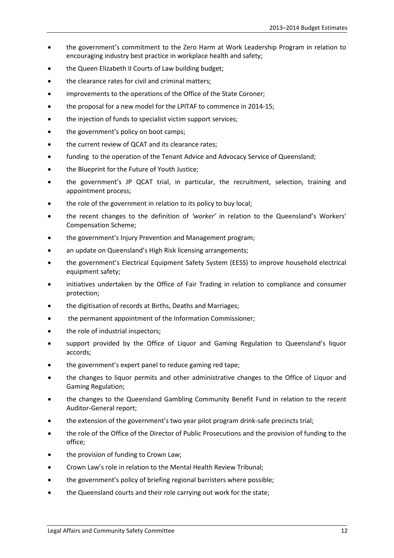- the government's commitment to the Zero Harm at Work Leadership Program in relation to encouraging industry best practice in workplace health and safety;
- the Queen Elizabeth II Courts of Law building budget;
- the clearance rates for civil and criminal matters;
- improvements to the operations of the Office of the State Coroner;
- the proposal for a new model for the LPITAF to commence in 2014-15;
- the injection of funds to specialist victim support services;
- the government's policy on boot camps;
- the current review of QCAT and its clearance rates;
- funding to the operation of the Tenant Advice and Advocacy Service of Queensland;
- the Blueprint for the Future of Youth Justice;
- the government's JP QCAT trial, in particular, the recruitment, selection, training and appointment process;
- the role of the government in relation to its policy to buy local;
- the recent changes to the definition of *'worker'* in relation to the Queensland's Workers' Compensation Scheme;
- the government's Injury Prevention and Management program;
- an update on Queensland's High Risk licensing arrangements;
- the government's Electrical Equipment Safety System (EESS) to improve household electrical equipment safety;
- initiatives undertaken by the Office of Fair Trading in relation to compliance and consumer protection;
- the digitisation of records at Births, Deaths and Marriages;
- the permanent appointment of the Information Commissioner;
- the role of industrial inspectors;
- support provided by the Office of Liquor and Gaming Regulation to Queensland's liquor accords;
- the government's expert panel to reduce gaming red tape;
- the changes to liquor permits and other administrative changes to the Office of Liquor and Gaming Regulation;
- the changes to the Queensland Gambling Community Benefit Fund in relation to the recent Auditor-General report;
- the extension of the government's two year pilot program drink-safe precincts trial;
- the role of the Office of the Director of Public Prosecutions and the provision of funding to the office;
- the provision of funding to Crown Law;
- Crown Law's role in relation to the Mental Health Review Tribunal;
- the government's policy of briefing regional barristers where possible;
- the Queensland courts and their role carrying out work for the state;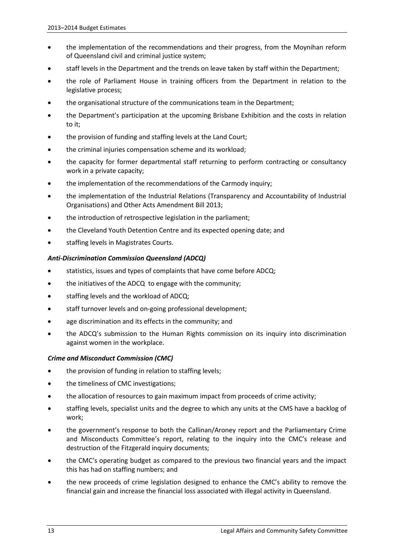- the implementation of the recommendations and their progress, from the Moynihan reform of Queensland civil and criminal justice system;
- staff levels in the Department and the trends on leave taken by staff within the Department;
- the role of Parliament House in training officers from the Department in relation to the legislative process;
- the organisational structure of the communications team in the Department;
- the Department's participation at the upcoming Brisbane Exhibition and the costs in relation to it;
- the provision of funding and staffing levels at the Land Court;
- the criminal injuries compensation scheme and its workload;
- the capacity for former departmental staff returning to perform contracting or consultancy work in a private capacity;
- the implementation of the recommendations of the Carmody inquiry;
- the implementation of the Industrial Relations (Transparency and Accountability of Industrial Organisations) and Other Acts Amendment Bill 2013;
- the introduction of retrospective legislation in the parliament;
- the Cleveland Youth Detention Centre and its expected opening date; and
- staffing levels in Magistrates Courts.

#### *Anti-Discrimination Commission Queensland (ADCQ)*

- statistics, issues and types of complaints that have come before ADCQ;
- the initiatives of the ADCQ to engage with the community;
- staffing levels and the workload of ADCQ;
- staff turnover levels and on-going professional development;
- age discrimination and its effects in the community; and
- the ADCQ's submission to the Human Rights commission on its inquiry into discrimination against women in the workplace.

#### *Crime and Misconduct Commission (CMC)*

- the provision of funding in relation to staffing levels;
- the timeliness of CMC investigations;
- the allocation of resources to gain maximum impact from proceeds of crime activity;
- staffing levels, specialist units and the degree to which any units at the CMS have a backlog of work;
- the government's response to both the Callinan/Aroney report and the Parliamentary Crime and Misconducts Committee's report, relating to the inquiry into the CMC's release and destruction of the Fitzgerald inquiry documents;
- the CMC's operating budget as compared to the previous two financial years and the impact this has had on staffing numbers; and
- the new proceeds of crime legislation designed to enhance the CMC's ability to remove the financial gain and increase the financial loss associated with illegal activity in Queensland.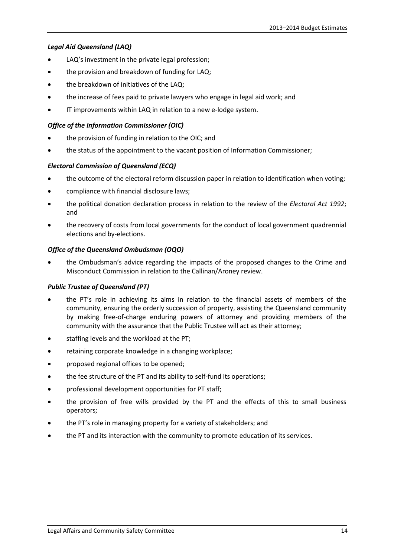#### *Legal Aid Queensland (LAQ)*

- LAQ's investment in the private legal profession;
- the provision and breakdown of funding for LAQ;
- the breakdown of initiatives of the LAQ;
- the increase of fees paid to private lawyers who engage in legal aid work; and
- IT improvements within LAQ in relation to a new e-lodge system.

#### *Office of the Information Commissioner (OIC)*

- the provision of funding in relation to the OIC; and
- the status of the appointment to the vacant position of Information Commissioner;

#### *Electoral Commission of Queensland (ECQ)*

- the outcome of the electoral reform discussion paper in relation to identification when voting;
- compliance with financial disclosure laws;
- the political donation declaration process in relation to the review of the *Electoral Act 1992*; and
- the recovery of costs from local governments for the conduct of local government quadrennial elections and by-elections.

#### *Office of the Queensland Ombudsman (OQO)*

• the Ombudsman's advice regarding the impacts of the proposed changes to the Crime and Misconduct Commission in relation to the Callinan/Aroney review.

#### *Public Trustee of Queensland (PT)*

- the PT's role in achieving its aims in relation to the financial assets of members of the community, ensuring the orderly succession of property, assisting the Queensland community by making free-of-charge enduring powers of attorney and providing members of the community with the assurance that the Public Trustee will act as their attorney;
- staffing levels and the workload at the PT;
- retaining corporate knowledge in a changing workplace;
- proposed regional offices to be opened;
- the fee structure of the PT and its ability to self-fund its operations;
- professional development opportunities for PT staff;
- the provision of free wills provided by the PT and the effects of this to small business operators;
- the PT's role in managing property for a variety of stakeholders; and
- the PT and its interaction with the community to promote education of its services.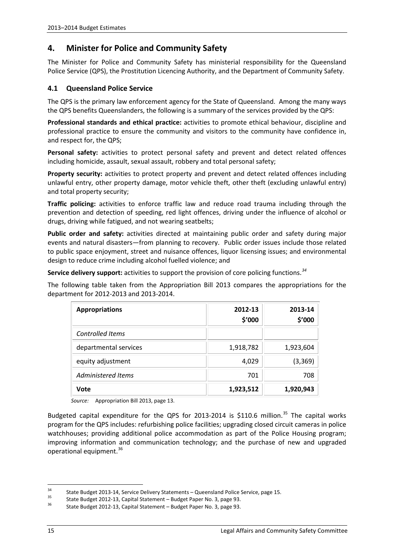## **4. Minister for Police and Community Safety**

The Minister for Police and Community Safety has ministerial responsibility for the Queensland Police Service (QPS), the Prostitution Licencing Authority, and the Department of Community Safety.

#### **4.1 Queensland Police Service**

The QPS is the primary law enforcement agency for the State of Queensland. Among the many ways the QPS benefits Queenslanders, the following is a summary of the services provided by the QPS:

**Professional standards and ethical practice:** activities to promote ethical behaviour, discipline and professional practice to ensure the community and visitors to the community have confidence in, and respect for, the QPS;

**Personal safety:** activities to protect personal safety and prevent and detect related offences including homicide, assault, sexual assault, robbery and total personal safety;

**Property security:** activities to protect property and prevent and detect related offences including unlawful entry, other property damage, motor vehicle theft, other theft (excluding unlawful entry) and total property security;

**Traffic policing:** activities to enforce traffic law and reduce road trauma including through the prevention and detection of speeding, red light offences, driving under the influence of alcohol or drugs, driving while fatigued, and not wearing seatbelts;

**Public order and safety:** activities directed at maintaining public order and safety during major events and natural disasters—from planning to recovery. Public order issues include those related to public space enjoyment, street and nuisance offences, liquor licensing issues; and environmental design to reduce crime including alcohol fuelled violence; and

**Service delivery support:** activities to support the provision of core policing functions.*[34](#page-17-0)*

The following table taken from the Appropriation Bill 2013 compares the appropriations for the department for 2012-2013 and 2013-2014.

| <b>Appropriations</b>   | 2012-13<br>\$'000 | 2013-14<br>\$'000 |
|-------------------------|-------------------|-------------------|
| <b>Controlled Items</b> |                   |                   |
| departmental services   | 1,918,782         | 1,923,604         |
| equity adjustment       | 4,029             | (3, 369)          |
| Administered Items      | 701               | 708               |
| Vote                    | 1,923,512         | 1,920,943         |

*Source:* Appropriation Bill 2013, page 13.

Budgeted capital expenditure for the QPS for 2013-2014 is \$110.6 million.<sup>[35](#page-17-1)</sup> The capital works program for the QPS includes: refurbishing police facilities; upgrading closed circuit cameras in police watchhouses; providing additional police accommodation as part of the Police Housing program; improving information and communication technology; and the purchase of new and upgraded operational equipment.<sup>[36](#page-17-2)</sup>

<span id="page-17-0"></span><sup>34</sup> State Budget 2013-14, Service Delivery Statements – Queensland Police Service, page 15.<br>35 State Budget 2012-13, Capital Statement – Budget Paper No. 3, page 93.<br>36 State Budget 2012-13, Capital Statement – Budget Pape

<span id="page-17-2"></span><span id="page-17-1"></span>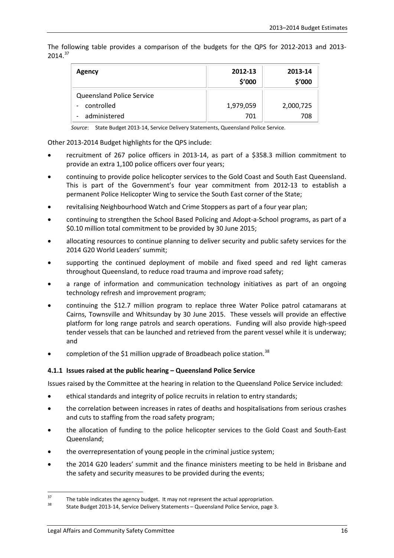The following table provides a comparison of the budgets for the QPS for 2012-2013 and 2013-  $2014.<sup>37</sup>$  $2014.<sup>37</sup>$  $2014.<sup>37</sup>$ 

| Agency                           | 2012-13<br>\$'000 | 2013-14<br>\$'000 |
|----------------------------------|-------------------|-------------------|
| <b>Queensland Police Service</b> |                   |                   |
| controlled                       | 1,979,059         | 2,000,725         |
| administered                     | 701               | 708               |

*Source*: State Budget 2013-14, Service Delivery Statements, Queensland Police Service.

Other 2013-2014 Budget highlights for the QPS include:

- recruitment of 267 police officers in 2013-14, as part of a \$358.3 million commitment to provide an extra 1,100 police officers over four years;
- continuing to provide police helicopter services to the Gold Coast and South East Queensland. This is part of the Government's four year commitment from 2012-13 to establish a permanent Police Helicopter Wing to service the South East corner of the State;
- revitalising Neighbourhood Watch and Crime Stoppers as part of a four year plan;
- continuing to strengthen the School Based Policing and Adopt-a-School programs, as part of a \$0.10 million total commitment to be provided by 30 June 2015;
- allocating resources to continue planning to deliver security and public safety services for the 2014 G20 World Leaders' summit;
- supporting the continued deployment of mobile and fixed speed and red light cameras throughout Queensland, to reduce road trauma and improve road safety;
- a range of information and communication technology initiatives as part of an ongoing technology refresh and improvement program;
- continuing the \$12.7 million program to replace three Water Police patrol catamarans at Cairns, Townsville and Whitsunday by 30 June 2015. These vessels will provide an effective platform for long range patrols and search operations. Funding will also provide high-speed tender vessels that can be launched and retrieved from the parent vessel while it is underway; and
- completion of the \$1 million upgrade of Broadbeach police station.<sup>[38](#page-18-1)</sup>

#### **4.1.1 Issues raised at the public hearing – Queensland Police Service**

Issues raised by the Committee at the hearing in relation to the Queensland Police Service included:

- ethical standards and integrity of police recruits in relation to entry standards;
- the correlation between increases in rates of deaths and hospitalisations from serious crashes and cuts to staffing from the road safety program;
- the allocation of funding to the police helicopter services to the Gold Coast and South-East Queensland;
- the overrepresentation of young people in the criminal justice system;
- the 2014 G20 leaders' summit and the finance ministers meeting to be held in Brisbane and the safety and security measures to be provided during the events;

<span id="page-18-1"></span><span id="page-18-0"></span><sup>&</sup>lt;sup>37</sup> The table indicates the agency budget. It may not represent the actual appropriation.<br><sup>38</sup> State Budget 2013-14, Service Delivery Statements – Queensland Police Service, page 3.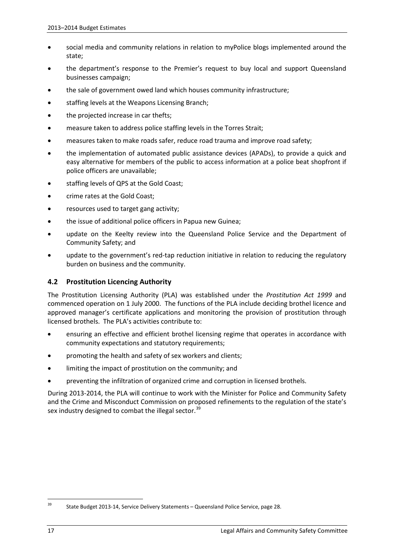- social media and community relations in relation to myPolice blogs implemented around the state;
- the department's response to the Premier's request to buy local and support Queensland businesses campaign;
- the sale of government owed land which houses community infrastructure;
- staffing levels at the Weapons Licensing Branch;
- the projected increase in car thefts;
- measure taken to address police staffing levels in the Torres Strait;
- measures taken to make roads safer, reduce road trauma and improve road safety;
- the implementation of automated public assistance devices (APADs), to provide a quick and easy alternative for members of the public to access information at a police beat shopfront if police officers are unavailable;
- staffing levels of QPS at the Gold Coast;
- crime rates at the Gold Coast;
- resources used to target gang activity;
- the issue of additional police officers in Papua new Guinea;
- update on the Keelty review into the Queensland Police Service and the Department of Community Safety; and
- update to the government's red-tap reduction initiative in relation to reducing the regulatory burden on business and the community.

#### **4.2 Prostitution Licencing Authority**

The Prostitution Licensing Authority (PLA) was established under the *Prostitution Act 1999* and commenced operation on 1 July 2000. The functions of the PLA include deciding brothel licence and approved manager's certificate applications and monitoring the provision of prostitution through licensed brothels. The PLA's activities contribute to:

- ensuring an effective and efficient brothel licensing regime that operates in accordance with community expectations and statutory requirements;
- promoting the health and safety of sex workers and clients;
- limiting the impact of prostitution on the community; and
- preventing the infiltration of organized crime and corruption in licensed brothels.

During 2013-2014, the PLA will continue to work with the Minister for Police and Community Safety and the Crime and Misconduct Commission on proposed refinements to the regulation of the state's sex industry designed to combat the illegal sector.<sup>[39](#page-19-0)</sup>

<span id="page-19-0"></span><sup>39</sup> State Budget 2013-14, Service Delivery Statements – Queensland Police Service, page 28.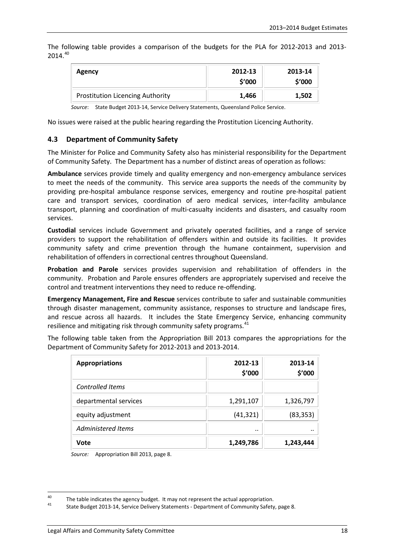The following table provides a comparison of the budgets for the PLA for 2012-2013 and 2013- 2014. [40](#page-20-0)

| <b>Agency</b>                           | 2012-13<br>\$'000 | 2013-14<br>\$'000 |
|-----------------------------------------|-------------------|-------------------|
| <b>Prostitution Licencing Authority</b> | 1,466             | 1,502             |

*Source*: State Budget 2013-14, Service Delivery Statements, Queensland Police Service.

No issues were raised at the public hearing regarding the Prostitution Licencing Authority.

#### **4.3 Department of Community Safety**

The Minister for Police and Community Safety also has ministerial responsibility for the Department of Community Safety. The Department has a number of distinct areas of operation as follows:

**Ambulance** services provide timely and quality emergency and non-emergency ambulance services to meet the needs of the community. This service area supports the needs of the community by providing pre-hospital ambulance response services, emergency and routine pre-hospital patient care and transport services, coordination of aero medical services, inter-facility ambulance transport, planning and coordination of multi-casualty incidents and disasters, and casualty room services.

**Custodial** services include Government and privately operated facilities, and a range of service providers to support the rehabilitation of offenders within and outside its facilities. It provides community safety and crime prevention through the humane containment, supervision and rehabilitation of offenders in correctional centres throughout Queensland.

**Probation and Parole** services provides supervision and rehabilitation of offenders in the community. Probation and Parole ensures offenders are appropriately supervised and receive the control and treatment interventions they need to reduce re-offending.

**Emergency Management, Fire and Rescue** services contribute to safer and sustainable communities through disaster management, community assistance, responses to structure and landscape fires, and rescue across all hazards. It includes the State Emergency Service, enhancing community resilience and mitigating risk through community safety programs.<sup>[41](#page-20-1)</sup>

The following table taken from the Appropriation Bill 2013 compares the appropriations for the Department of Community Safety for 2012-2013 and 2013-2014.

| <b>Appropriations</b>   | 2012-13<br>\$'000 | 2013-14<br>\$'000 |
|-------------------------|-------------------|-------------------|
| <b>Controlled Items</b> |                   |                   |
| departmental services   | 1,291,107         | 1,326,797         |
| equity adjustment       | (41, 321)         | (83, 353)         |
| Administered Items      |                   |                   |
| Vote                    | 1,249,786         | 1,243,444         |

*Source:* Appropriation Bill 2013, page 8.

<span id="page-20-0"></span><sup>&</sup>lt;sup>40</sup> The table indicates the agency budget. It may not represent the actual appropriation.<br><sup>41</sup> State Budget 2013-14, Service Delivery Statements - Department of Community Safety, page 8.

<span id="page-20-1"></span>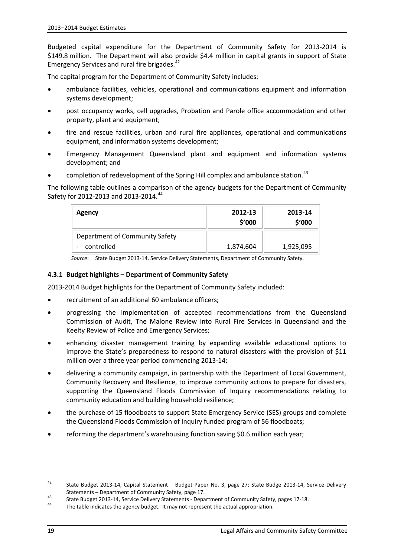Budgeted capital expenditure for the Department of Community Safety for 2013-2014 is \$149.8 million. The Department will also provide \$4.4 million in capital grants in support of State Emergency Services and rural fire brigades. [42](#page-21-0)

The capital program for the Department of Community Safety includes:

- ambulance facilities, vehicles, operational and communications equipment and information systems development;
- post occupancy works, cell upgrades, Probation and Parole office accommodation and other property, plant and equipment;
- fire and rescue facilities, urban and rural fire appliances, operational and communications equipment, and information systems development;
- Emergency Management Queensland plant and equipment and information systems development; and
- completion of redevelopment of the Spring Hill complex and ambulance station.<sup>[43](#page-21-1)</sup>

The following table outlines a comparison of the agency budgets for the Department of Community Safety for 2012-2013 and 2013-2014.<sup>[44](#page-21-2)</sup>

| Agency                                       | 2012-13<br>\$′000 | 2013-14<br>\$'000 |
|----------------------------------------------|-------------------|-------------------|
| Department of Community Safety<br>controlled | 1,874,604         | 1,925,095         |

*Source*: State Budget 2013-14, Service Delivery Statements, Department of Community Safety.

#### **4.3.1 Budget highlights – Department of Community Safety**

2013-2014 Budget highlights for the Department of Community Safety included:

- recruitment of an additional 60 ambulance officers;
- progressing the implementation of accepted recommendations from the Queensland Commission of Audit, The Malone Review into Rural Fire Services in Queensland and the Keelty Review of Police and Emergency Services;
- enhancing disaster management training by expanding available educational options to improve the State's preparedness to respond to natural disasters with the provision of \$11 million over a three year period commencing 2013-14;
- delivering a community campaign, in partnership with the Department of Local Government, Community Recovery and Resilience, to improve community actions to prepare for disasters, supporting the Queensland Floods Commission of Inquiry recommendations relating to community education and building household resilience;
- the purchase of 15 floodboats to support State Emergency Service (SES) groups and complete the Queensland Floods Commission of Inquiry funded program of 56 floodboats;
- reforming the department's warehousing function saving \$0.6 million each year;

<span id="page-21-0"></span><sup>42</sup> State Budget 2013-14, Capital Statement – Budget Paper No. 3, page 27; State Budge 2013-14, Service Delivery

<span id="page-21-1"></span>Statements – Department of Community Safety, page 17.<br>State Budget 2013-14, Service Delivery Statements - Department of Community Safety, pages 17-18.<br>The table indicates the agency budget. It may not represent the actual

<span id="page-21-2"></span>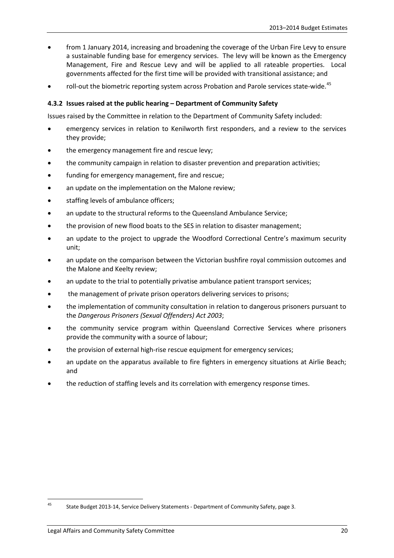- from 1 January 2014, increasing and broadening the coverage of the Urban Fire Levy to ensure a sustainable funding base for emergency services. The levy will be known as the Emergency Management, Fire and Rescue Levy and will be applied to all rateable properties. Local governments affected for the first time will be provided with transitional assistance; and
- roll-out the biometric reporting system across Probation and Parole services state-wide.<sup>[45](#page-22-0)</sup>

#### **4.3.2 Issues raised at the public hearing – Department of Community Safety**

Issues raised by the Committee in relation to the Department of Community Safety included:

- emergency services in relation to Kenilworth first responders, and a review to the services they provide;
- the emergency management fire and rescue levy;
- the community campaign in relation to disaster prevention and preparation activities;
- funding for emergency management, fire and rescue;
- an update on the implementation on the Malone review;
- staffing levels of ambulance officers;
- an update to the structural reforms to the Queensland Ambulance Service;
- the provision of new flood boats to the SES in relation to disaster management;
- an update to the project to upgrade the Woodford Correctional Centre's maximum security unit;
- an update on the comparison between the Victorian bushfire royal commission outcomes and the Malone and Keelty review;
- an update to the trial to potentially privatise ambulance patient transport services;
- the management of private prison operators delivering services to prisons;
- the implementation of community consultation in relation to dangerous prisoners pursuant to the *Dangerous Prisoners (Sexual Offenders) Act 2003*;
- the community service program within Queensland Corrective Services where prisoners provide the community with a source of labour;
- the provision of external high-rise rescue equipment for emergency services;
- an update on the apparatus available to fire fighters in emergency situations at Airlie Beach; and
- the reduction of staffing levels and its correlation with emergency response times.

<span id="page-22-0"></span><sup>45</sup> State Budget 2013-14, Service Delivery Statements - Department of Community Safety, page 3.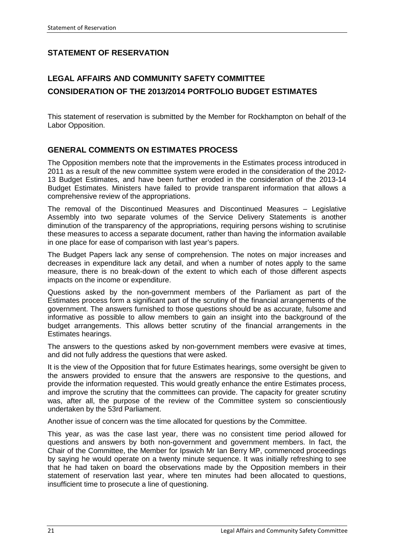## **STATEMENT OF RESERVATION**

## **LEGAL AFFAIRS AND COMMUNITY SAFETY COMMITTEE CONSIDERATION OF THE 2013/2014 PORTFOLIO BUDGET ESTIMATES**

This statement of reservation is submitted by the Member for Rockhampton on behalf of the Labor Opposition.

#### **GENERAL COMMENTS ON ESTIMATES PROCESS**

The Opposition members note that the improvements in the Estimates process introduced in 2011 as a result of the new committee system were eroded in the consideration of the 2012- 13 Budget Estimates, and have been further eroded in the consideration of the 2013-14 Budget Estimates. Ministers have failed to provide transparent information that allows a comprehensive review of the appropriations.

The removal of the Discontinued Measures and Discontinued Measures – Legislative Assembly into two separate volumes of the Service Delivery Statements is another diminution of the transparency of the appropriations, requiring persons wishing to scrutinise these measures to access a separate document, rather than having the information available in one place for ease of comparison with last year's papers.

The Budget Papers lack any sense of comprehension. The notes on major increases and decreases in expenditure lack any detail, and when a number of notes apply to the same measure, there is no break-down of the extent to which each of those different aspects impacts on the income or expenditure.

Questions asked by the non-government members of the Parliament as part of the Estimates process form a significant part of the scrutiny of the financial arrangements of the government. The answers furnished to those questions should be as accurate, fulsome and informative as possible to allow members to gain an insight into the background of the budget arrangements. This allows better scrutiny of the financial arrangements in the Estimates hearings.

The answers to the questions asked by non-government members were evasive at times, and did not fully address the questions that were asked.

It is the view of the Opposition that for future Estimates hearings, some oversight be given to the answers provided to ensure that the answers are responsive to the questions, and provide the information requested. This would greatly enhance the entire Estimates process, and improve the scrutiny that the committees can provide. The capacity for greater scrutiny was, after all, the purpose of the review of the Committee system so conscientiously undertaken by the 53rd Parliament.

Another issue of concern was the time allocated for questions by the Committee.

This year, as was the case last year, there was no consistent time period allowed for questions and answers by both non-government and government members. In fact, the Chair of the Committee, the Member for Ipswich Mr Ian Berry MP, commenced proceedings by saying he would operate on a twenty minute sequence. It was initially refreshing to see that he had taken on board the observations made by the Opposition members in their statement of reservation last year, where ten minutes had been allocated to questions, insufficient time to prosecute a line of questioning.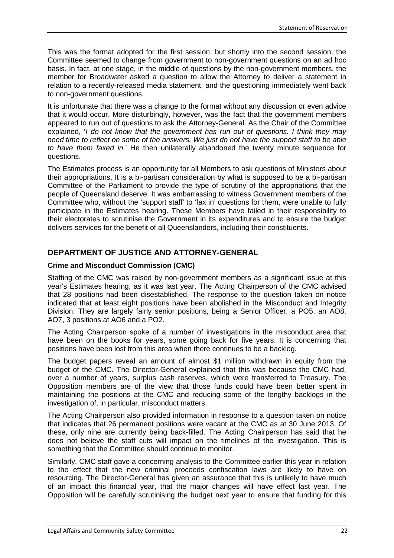This was the format adopted for the first session, but shortly into the second session, the Committee seemed to change from government to non-government questions on an ad hoc basis. In fact, at one stage, in the middle of questions by the non-government members, the member for Broadwater asked a question to allow the Attorney to deliver a statement in relation to a recently-released media statement, and the questioning immediately went back to non-government questions.

It is unfortunate that there was a change to the format without any discussion or even advice that it would occur. More disturbingly, however, was the fact that the government members appeared to run out of questions to ask the Attorney-General. As the Chair of the Committee explained, '*I do not know that the government has run out of questions. I think they may need time to reflect on some of the answers. We just do not have the support staff to be able to have them faxed in*.' He then unilaterally abandoned the twenty minute sequence for questions.

The Estimates process is an opportunity for all Members to ask questions of Ministers about their appropriations. It is a bi-partisan consideration by what is supposed to be a bi-partisan Committee of the Parliament to provide the type of scrutiny of the appropriations that the people of Queensland deserve. It was embarrassing to witness Government members of the Committee who, without the 'support staff' to 'fax in' questions for them, were unable to fully participate in the Estimates hearing. These Members have failed in their responsibility to their electorates to scrutinise the Government in its expenditures and to ensure the budget delivers services for the benefit of all Queenslanders, including their constituents.

#### **DEPARTMENT OF JUSTICE AND ATTORNEY-GENERAL**

#### **Crime and Misconduct Commission (CMC)**

Staffing of the CMC was raised by non-government members as a significant issue at this year's Estimates hearing, as it was last year. The Acting Chairperson of the CMC advised that 28 positions had been disestablished. The response to the question taken on notice indicated that at least eight positions have been abolished in the Misconduct and Integrity Division. They are largely fairly senior positions, being a Senior Officer, a PO5, an AO8, AO7, 3 positions at AO6 and a PO2.

The Acting Chairperson spoke of a number of investigations in the misconduct area that have been on the books for years, some going back for five years. It is concerning that positions have been lost from this area when there continues to be a backlog.

The budget papers reveal an amount of almost \$1 million withdrawn in equity from the budget of the CMC. The Director-General explained that this was because the CMC had, over a number of years, surplus cash reserves, which were transferred to Treasury. The Opposition members are of the view that those funds could have been better spent in maintaining the positions at the CMC and reducing some of the lengthy backlogs in the investigation of, in particular, misconduct matters.

The Acting Chairperson also provided information in response to a question taken on notice that indicates that 26 permanent positions were vacant at the CMC as at 30 June 2013. Of these, only nine are currently being back-filled. The Acting Chairperson has said that he does not believe the staff cuts will impact on the timelines of the investigation. This is something that the Committee should continue to monitor.

Similarly, CMC staff gave a concerning analysis to the Committee earlier this year in relation to the effect that the new criminal proceeds confiscation laws are likely to have on resourcing. The Director-General has given an assurance that this is unlikely to have much of an impact this financial year, that the major changes will have effect last year. The Opposition will be carefully scrutinising the budget next year to ensure that funding for this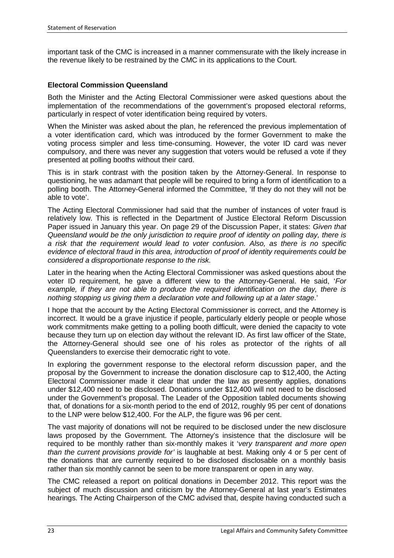important task of the CMC is increased in a manner commensurate with the likely increase in the revenue likely to be restrained by the CMC in its applications to the Court.

#### **Electoral Commission Queensland**

Both the Minister and the Acting Electoral Commissioner were asked questions about the implementation of the recommendations of the government's proposed electoral reforms, particularly in respect of voter identification being required by voters.

When the Minister was asked about the plan, he referenced the previous implementation of a voter identification card, which was introduced by the former Government to make the voting process simpler and less time-consuming. However, the voter ID card was never compulsory, and there was never any suggestion that voters would be refused a vote if they presented at polling booths without their card.

This is in stark contrast with the position taken by the Attorney-General. In response to questioning, he was adamant that people will be required to bring a form of identification to a polling booth. The Attorney-General informed the Committee, 'If they do not they will not be able to vote'.

The Acting Electoral Commissioner had said that the number of instances of voter fraud is relatively low. This is reflected in the Department of Justice Electoral Reform Discussion Paper issued in January this year. On page 29 of the Discussion Paper, it states: *Given that Queensland would be the only jurisdiction to require proof of identity on polling day, there is a risk that the requirement would lead to voter confusion. Also, as there is no specific evidence of electoral fraud in this area, introduction of proof of identity requirements could be considered a disproportionate response to the risk.*

Later in the hearing when the Acting Electoral Commissioner was asked questions about the voter ID requirement, he gave a different view to the Attorney-General. He said, '*For example, if they are not able to produce the required identification on the day, there is nothing stopping us giving them a declaration vote and following up at a later stage*.'

I hope that the account by the Acting Electoral Commissioner is correct, and the Attorney is incorrect. It would be a grave injustice if people, particularly elderly people or people whose work commitments make getting to a polling booth difficult, were denied the capacity to vote because they turn up on election day without the relevant ID. As first law officer of the State, the Attorney-General should see one of his roles as protector of the rights of all Queenslanders to exercise their democratic right to vote.

In exploring the government response to the electoral reform discussion paper, and the proposal by the Government to increase the donation disclosure cap to \$12,400, the Acting Electoral Commissioner made it clear that under the law as presently applies, donations under \$12,400 need to be disclosed. Donations under \$12,400 will not need to be disclosed under the Government's proposal. The Leader of the Opposition tabled documents showing that, of donations for a six-month period to the end of 2012, roughly 95 per cent of donations to the LNP were below \$12,400. For the ALP, the figure was 96 per cent.

The vast majority of donations will not be required to be disclosed under the new disclosure laws proposed by the Government. The Attorney's insistence that the disclosure will be required to be monthly rather than six-monthly makes it '*very transparent and more open than the current provisions provide for'* is laughable at best. Making only 4 or 5 per cent of the donations that are currently required to be disclosed disclosable on a monthly basis rather than six monthly cannot be seen to be more transparent or open in any way.

The CMC released a report on political donations in December 2012. This report was the subject of much discussion and criticism by the Attorney-General at last year's Estimates hearings. The Acting Chairperson of the CMC advised that, despite having conducted such a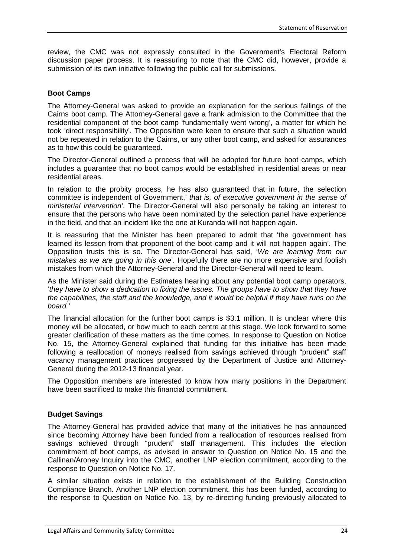review, the CMC was not expressly consulted in the Government's Electoral Reform discussion paper process. It is reassuring to note that the CMC did, however, provide a submission of its own initiative following the public call for submissions.

#### **Boot Camps**

The Attorney-General was asked to provide an explanation for the serious failings of the Cairns boot camp. The Attorney-General gave a frank admission to the Committee that the residential component of the boot camp 'fundamentally went wrong', a matter for which he took 'direct responsibility'. The Opposition were keen to ensure that such a situation would not be repeated in relation to the Cairns, or any other boot camp, and asked for assurances as to how this could be guaranteed.

The Director-General outlined a process that will be adopted for future boot camps, which includes a guarantee that no boot camps would be established in residential areas or near residential areas.

In relation to the probity process, he has also guaranteed that in future, the selection committee is independent of Government,' *that is, of executive government in the sense of ministerial intervention'.* The Director-General will also personally be taking an interest to ensure that the persons who have been nominated by the selection panel have experience in the field, and that an incident like the one at Kuranda will not happen again.

It is reassuring that the Minister has been prepared to admit that 'the government has learned its lesson from that proponent of the boot camp and it will not happen again'. The Opposition trusts this is so. The Director-General has said, '*We are learning from our mistakes as we are going in this one*'. Hopefully there are no more expensive and foolish mistakes from which the Attorney-General and the Director-General will need to learn.

As the Minister said during the Estimates hearing about any potential boot camp operators, '*they have to show a dedication to fixing the issues. The groups have to show that they have the capabilities, the staff and the knowledge, and it would be helpful if they have runs on the board.'*

The financial allocation for the further boot camps is \$3.1 million. It is unclear where this money will be allocated, or how much to each centre at this stage. We look forward to some greater clarification of these matters as the time comes. In response to Question on Notice No. 15, the Attorney-General explained that funding for this initiative has been made following a reallocation of moneys realised from savings achieved through "prudent" staff vacancy management practices progressed by the Department of Justice and Attorney-General during the 2012-13 financial year.

The Opposition members are interested to know how many positions in the Department have been sacrificed to make this financial commitment.

#### **Budget Savings**

The Attorney-General has provided advice that many of the initiatives he has announced since becoming Attorney have been funded from a reallocation of resources realised from savings achieved through "prudent" staff management. This includes the election commitment of boot camps, as advised in answer to Question on Notice No. 15 and the Callinan/Aroney Inquiry into the CMC, another LNP election commitment, according to the response to Question on Notice No. 17.

A similar situation exists in relation to the establishment of the Building Construction Compliance Branch. Another LNP election commitment, this has been funded, according to the response to Question on Notice No. 13, by re-directing funding previously allocated to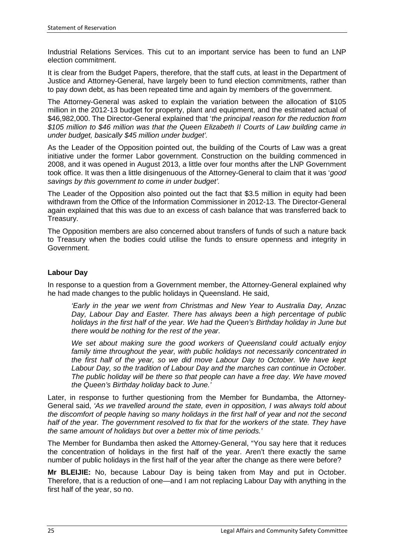Industrial Relations Services. This cut to an important service has been to fund an LNP election commitment.

It is clear from the Budget Papers, therefore, that the staff cuts, at least in the Department of Justice and Attorney-General, have largely been to fund election commitments, rather than to pay down debt, as has been repeated time and again by members of the government.

The Attorney-General was asked to explain the variation between the allocation of \$105 million in the 2012-13 budget for property, plant and equipment, and the estimated actual of \$46,982,000. The Director-General explained that '*the principal reason for the reduction from \$105 million to \$46 million was that the Queen Elizabeth II Courts of Law building came in under budget, basically \$45 million under budget'.*

As the Leader of the Opposition pointed out, the building of the Courts of Law was a great initiative under the former Labor government. Construction on the building commenced in 2008, and it was opened in August 2013, a little over four months after the LNP Government took office. It was then a little disingenuous of the Attorney-General to claim that it was '*good savings by this government to come in under budget'.*

The Leader of the Opposition also pointed out the fact that \$3.5 million in equity had been withdrawn from the Office of the Information Commissioner in 2012-13. The Director-General again explained that this was due to an excess of cash balance that was transferred back to Treasury.

The Opposition members are also concerned about transfers of funds of such a nature back to Treasury when the bodies could utilise the funds to ensure openness and integrity in Government.

#### **Labour Day**

In response to a question from a Government member, the Attorney-General explained why he had made changes to the public holidays in Queensland. He said,

*'Early in the year we went from Christmas and New Year to Australia Day, Anzac Day, Labour Day and Easter. There has always been a high percentage of public holidays in the first half of the year. We had the Queen's Birthday holiday in June but there would be nothing for the rest of the year.* 

*We set about making sure the good workers of Queensland could actually enjoy*  family time throughout the year, with public holidays not necessarily concentrated in *the first half of the year, so we did move Labour Day to October. We have kept Labour Day, so the tradition of Labour Day and the marches can continue in October. The public holiday will be there so that people can have a free day. We have moved the Queen's Birthday holiday back to June.'*

Later, in response to further questioning from the Member for Bundamba, the Attorney-General said, *'As we travelled around the state, even in opposition, I was always told about the discomfort of people having so many holidays in the first half of year and not the second half of the year. The government resolved to fix that for the workers of the state. They have the same amount of holidays but over a better mix of time periods.'*

The Member for Bundamba then asked the Attorney-General, "You say here that it reduces the concentration of holidays in the first half of the year. Aren't there exactly the same number of public holidays in the first half of the year after the change as there were before?

**Mr BLEIJIE:** No, because Labour Day is being taken from May and put in October. Therefore, that is a reduction of one—and I am not replacing Labour Day with anything in the first half of the year, so no.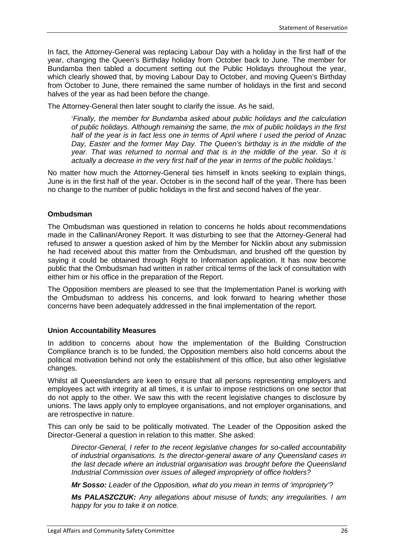In fact, the Attorney-General was replacing Labour Day with a holiday in the first half of the year, changing the Queen's Birthday holiday from October back to June. The member for Bundamba then tabled a document setting out the Public Holidays throughout the year, which clearly showed that, by moving Labour Day to October, and moving Queen's Birthday from October to June, there remained the same number of holidays in the first and second halves of the year as had been before the change.

The Attorney-General then later sought to clarify the issue. As he said,

'*Finally, the member for Bundamba asked about public holidays and the calculation of public holidays. Although remaining the same, the mix of public holidays in the first half of the year is in fact less one in terms of April where I used the period of Anzac Day, Easter and the former May Day. The Queen's birthday is in the middle of the year. That was returned to normal and that is in the middle of the year. So it is actually a decrease in the very first half of the year in terms of the public holidays.'*

No matter how much the Attorney-General ties himself in knots seeking to explain things, June is in the first half of the year. October is in the second half of the year. There has been no change to the number of public holidays in the first and second halves of the year.

#### **Ombudsman**

The Ombudsman was questioned in relation to concerns he holds about recommendations made in the Callinan/Aroney Report. It was disturbing to see that the Attorney-General had refused to answer a question asked of him by the Member for Nicklin about any submission he had received about this matter from the Ombudsman, and brushed off the question by saying it could be obtained through Right to Information application. It has now become public that the Ombudsman had written in rather critical terms of the lack of consultation with either him or his office in the preparation of the Report.

The Opposition members are pleased to see that the Implementation Panel is working with the Ombudsman to address his concerns, and look forward to hearing whether those concerns have been adequately addressed in the final implementation of the report.

#### **Union Accountability Measures**

In addition to concerns about how the implementation of the Building Construction Compliance branch is to be funded, the Opposition members also hold concerns about the political motivation behind not only the establishment of this office, but also other legislative changes.

Whilst all Queenslanders are keen to ensure that all persons representing employers and employees act with integrity at all times, it is unfair to impose restrictions on one sector that do not apply to the other. We saw this with the recent legislative changes to disclosure by unions. The laws apply only to employee organisations, and not employer organisations, and are retrospective in nature.

This can only be said to be politically motivated. The Leader of the Opposition asked the Director-General a question in relation to this matter. She asked:

*Director-General, I refer to the recent legislative changes for so-called accountability of industrial organisations. Is the director-general aware of any Queensland cases in the last decade where an industrial organisation was brought before the Queensland Industrial Commission over issues of alleged impropriety of office holders?* 

*Mr Sosso: Leader of the Opposition, what do you mean in terms of 'impropriety'?* 

*Ms PALASZCZUK: Any allegations about misuse of funds; any irregularities. I am happy for you to take it on notice.*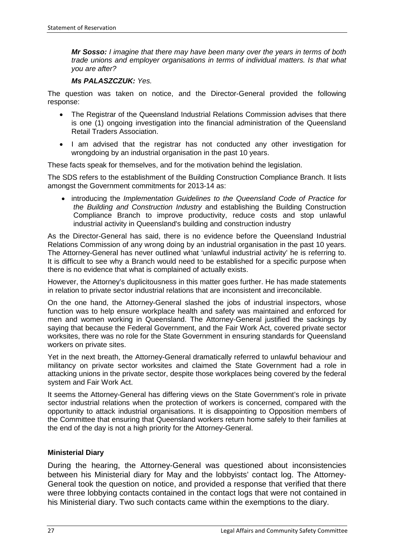*Mr Sosso: I imagine that there may have been many over the years in terms of both trade unions and employer organisations in terms of individual matters. Is that what you are after?* 

#### *Ms PALASZCZUK: Yes.*

The question was taken on notice, and the Director-General provided the following response:

- The Registrar of the Queensland Industrial Relations Commission advises that there is one (1) ongoing investigation into the financial administration of the Queensland Retail Traders Association.
- I am advised that the registrar has not conducted any other investigation for wrongdoing by an industrial organisation in the past 10 years.

These facts speak for themselves, and for the motivation behind the legislation.

The SDS refers to the establishment of the Building Construction Compliance Branch. It lists amongst the Government commitments for 2013-14 as:

• introducing the *Implementation Guidelines to the Queensland Code of Practice for the Building and Construction Industry* and establishing the Building Construction Compliance Branch to improve productivity, reduce costs and stop unlawful industrial activity in Queensland's building and construction industry

As the Director-General has said, there is no evidence before the Queensland Industrial Relations Commission of any wrong doing by an industrial organisation in the past 10 years. The Attorney-General has never outlined what 'unlawful industrial activity' he is referring to. It is difficult to see why a Branch would need to be established for a specific purpose when there is no evidence that what is complained of actually exists.

However, the Attorney's duplicitousness in this matter goes further. He has made statements in relation to private sector industrial relations that are inconsistent and irreconcilable.

On the one hand, the Attorney-General slashed the jobs of industrial inspectors, whose function was to help ensure workplace health and safety was maintained and enforced for men and women working in Queensland. The Attorney-General justified the sackings by saying that because the Federal Government, and the Fair Work Act, covered private sector worksites, there was no role for the State Government in ensuring standards for Queensland workers on private sites.

Yet in the next breath, the Attorney-General dramatically referred to unlawful behaviour and militancy on private sector worksites and claimed the State Government had a role in attacking unions in the private sector, despite those workplaces being covered by the federal system and Fair Work Act.

It seems the Attorney-General has differing views on the State Government's role in private sector industrial relations when the protection of workers is concerned, compared with the opportunity to attack industrial organisations. It is disappointing to Opposition members of the Committee that ensuring that Queensland workers return home safely to their families at the end of the day is not a high priority for the Attorney-General.

#### **Ministerial Diary**

During the hearing, the Attorney-General was questioned about inconsistencies between his Ministerial diary for May and the lobbyists' contact log. The Attorney-General took the question on notice, and provided a response that verified that there were three lobbying contacts contained in the contact logs that were not contained in his Ministerial diary. Two such contacts came within the exemptions to the diary.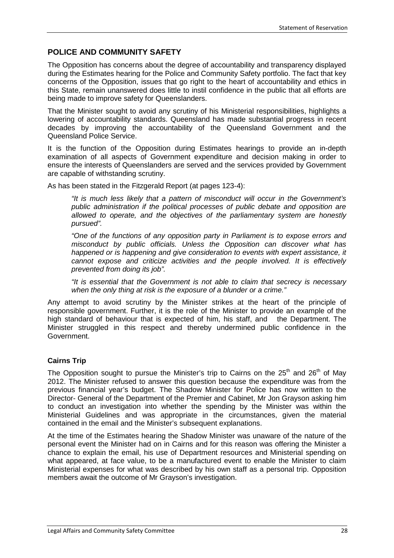## **POLICE AND COMMUNITY SAFETY**

The Opposition has concerns about the degree of accountability and transparency displayed during the Estimates hearing for the Police and Community Safety portfolio. The fact that key concerns of the Opposition, issues that go right to the heart of accountability and ethics in this State, remain unanswered does little to instil confidence in the public that all efforts are being made to improve safety for Queenslanders.

That the Minister sought to avoid any scrutiny of his Ministerial responsibilities, highlights a lowering of accountability standards. Queensland has made substantial progress in recent decades by improving the accountability of the Queensland Government and the Queensland Police Service.

It is the function of the Opposition during Estimates hearings to provide an in-depth examination of all aspects of Government expenditure and decision making in order to ensure the interests of Queenslanders are served and the services provided by Government are capable of withstanding scrutiny.

As has been stated in the Fitzgerald Report (at pages 123-4):

*"It is much less likely that a pattern of misconduct will occur in the Government's public administration if the political processes of public debate and opposition are allowed to operate, and the objectives of the parliamentary system are honestly pursued".*

*"One of the functions of any opposition party in Parliament is to expose errors and misconduct by public officials. Unless the Opposition can discover what has happened or is happening and give consideration to events with expert assistance, it cannot expose and criticize activities and the people involved. It is effectively prevented from doing its job".*

*"It is essential that the Government is not able to claim that secrecy is necessary when the only thing at risk is the exposure of a blunder or a crime."*

Any attempt to avoid scrutiny by the Minister strikes at the heart of the principle of responsible government. Further, it is the role of the Minister to provide an example of the high standard of behaviour that is expected of him, his staff, and the Department. The Minister struggled in this respect and thereby undermined public confidence in the Government.

#### **Cairns Trip**

The Opposition sought to pursue the Minister's trip to Cairns on the  $25<sup>th</sup>$  and  $26<sup>th</sup>$  of May 2012. The Minister refused to answer this question because the expenditure was from the previous financial year's budget. The Shadow Minister for Police has now written to the Director- General of the Department of the Premier and Cabinet, Mr Jon Grayson asking him to conduct an investigation into whether the spending by the Minister was within the Ministerial Guidelines and was appropriate in the circumstances, given the material contained in the email and the Minister's subsequent explanations.

At the time of the Estimates hearing the Shadow Minister was unaware of the nature of the personal event the Minister had on in Cairns and for this reason was offering the Minister a chance to explain the email, his use of Department resources and Ministerial spending on what appeared, at face value, to be a manufactured event to enable the Minister to claim Ministerial expenses for what was described by his own staff as a personal trip. Opposition members await the outcome of Mr Grayson's investigation.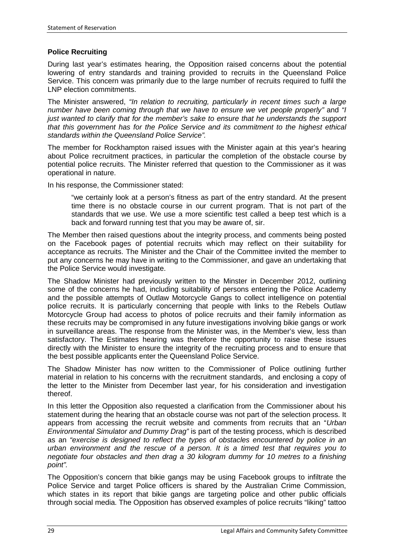#### **Police Recruiting**

During last year's estimates hearing, the Opposition raised concerns about the potential lowering of entry standards and training provided to recruits in the Queensland Police Service. This concern was primarily due to the large number of recruits required to fulfil the LNP election commitments.

The Minister answered, *"In relation to recruiting, particularly in recent times such a large number have been coming through that we have to ensure we vet people properly"* and *"I just wanted to clarify that for the member's sake to ensure that he understands the support that this government has for the Police Service and its commitment to the highest ethical standards within the Queensland Police Service".*

The member for Rockhampton raised issues with the Minister again at this year's hearing about Police recruitment practices, in particular the completion of the obstacle course by potential police recruits. The Minister referred that question to the Commissioner as it was operational in nature.

In his response, the Commissioner stated:

"we certainly look at a person's fitness as part of the entry standard. At the present time there is no obstacle course in our current program. That is not part of the standards that we use. We use a more scientific test called a beep test which is a back and forward running test that you may be aware of, sir.

The Member then raised questions about the integrity process, and comments being posted on the Facebook pages of potential recruits which may reflect on their suitability for acceptance as recruits. The Minister and the Chair of the Committee invited the member to put any concerns he may have in writing to the Commissioner, and gave an undertaking that the Police Service would investigate.

The Shadow Minister had previously written to the Minster in December 2012, outlining some of the concerns he had, including suitability of persons entering the Police Academy and the possible attempts of Outlaw Motorcycle Gangs to collect intelligence on potential police recruits. It is particularly concerning that people with links to the Rebels Outlaw Motorcycle Group had access to photos of police recruits and their family information as these recruits may be compromised in any future investigations involving bikie gangs or work in surveillance areas. The response from the Minister was, in the Member's view, less than satisfactory. The Estimates hearing was therefore the opportunity to raise these issues directly with the Minister to ensure the integrity of the recruiting process and to ensure that the best possible applicants enter the Queensland Police Service.

The Shadow Minister has now written to the Commissioner of Police outlining further material in relation to his concerns with the recruitment standards, and enclosing a copy of the letter to the Minister from December last year, for his consideration and investigation thereof.

In this letter the Opposition also requested a clarification from the Commissioner about his statement during the hearing that an obstacle course was not part of the selection process. It appears from accessing the recruit website and comments from recruits that an "*Urban Environmental Simulator and Dummy Drag"* is part of the testing process, which is described as an *"exercise is designed to reflect the types of obstacles encountered by police in an urban environment and the rescue of a person. It is a timed test that requires you to negotiate four obstacles and then drag a 30 kilogram dummy for 10 metres to a finishing point".*

The Opposition's concern that bikie gangs may be using Facebook groups to infiltrate the Police Service and target Police officers is shared by the Australian Crime Commission, which states in its report that bikie gangs are targeting police and other public officials through social media. The Opposition has observed examples of police recruits "liking" tattoo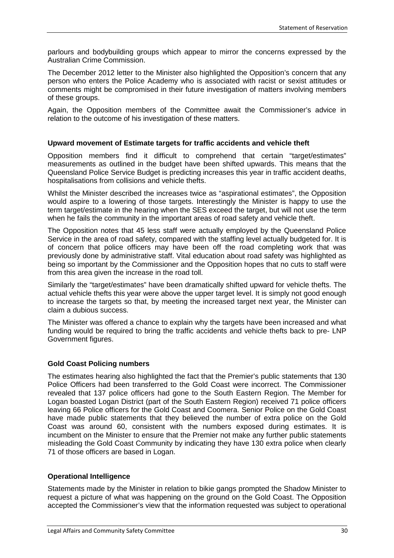parlours and bodybuilding groups which appear to mirror the concerns expressed by the Australian Crime Commission.

The December 2012 letter to the Minister also highlighted the Opposition's concern that any person who enters the Police Academy who is associated with racist or sexist attitudes or comments might be compromised in their future investigation of matters involving members of these groups.

Again, the Opposition members of the Committee await the Commissioner's advice in relation to the outcome of his investigation of these matters.

#### **Upward movement of Estimate targets for traffic accidents and vehicle theft**

Opposition members find it difficult to comprehend that certain "target/estimates" measurements as outlined in the budget have been shifted upwards. This means that the Queensland Police Service Budget is predicting increases this year in traffic accident deaths, hospitalisations from collisions and vehicle thefts.

Whilst the Minister described the increases twice as "aspirational estimates", the Opposition would aspire to a lowering of those targets. Interestingly the Minister is happy to use the term target/estimate in the hearing when the SES exceed the target, but will not use the term when he fails the community in the important areas of road safety and vehicle theft.

The Opposition notes that 45 less staff were actually employed by the Queensland Police Service in the area of road safety, compared with the staffing level actually budgeted for. It is of concern that police officers may have been off the road completing work that was previously done by administrative staff. Vital education about road safety was highlighted as being so important by the Commissioner and the Opposition hopes that no cuts to staff were from this area given the increase in the road toll.

Similarly the "target/estimates" have been dramatically shifted upward for vehicle thefts. The actual vehicle thefts this year were above the upper target level. It is simply not good enough to increase the targets so that, by meeting the increased target next year, the Minister can claim a dubious success.

The Minister was offered a chance to explain why the targets have been increased and what funding would be required to bring the traffic accidents and vehicle thefts back to pre- LNP Government figures.

#### **Gold Coast Policing numbers**

The estimates hearing also highlighted the fact that the Premier's public statements that 130 Police Officers had been transferred to the Gold Coast were incorrect. The Commissioner revealed that 137 police officers had gone to the South Eastern Region. The Member for Logan boasted Logan District (part of the South Eastern Region) received 71 police officers leaving 66 Police officers for the Gold Coast and Coomera. Senior Police on the Gold Coast have made public statements that they believed the number of extra police on the Gold Coast was around 60, consistent with the numbers exposed during estimates. It is incumbent on the Minister to ensure that the Premier not make any further public statements misleading the Gold Coast Community by indicating they have 130 extra police when clearly 71 of those officers are based in Logan.

#### **Operational Intelligence**

Statements made by the Minister in relation to bikie gangs prompted the Shadow Minister to request a picture of what was happening on the ground on the Gold Coast. The Opposition accepted the Commissioner's view that the information requested was subject to operational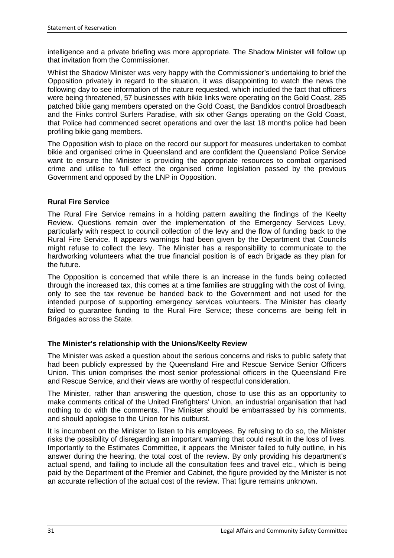intelligence and a private briefing was more appropriate. The Shadow Minister will follow up that invitation from the Commissioner.

Whilst the Shadow Minister was very happy with the Commissioner's undertaking to brief the Opposition privately in regard to the situation, it was disappointing to watch the news the following day to see information of the nature requested, which included the fact that officers were being threatened, 57 businesses with bikie links were operating on the Gold Coast, 285 patched bikie gang members operated on the Gold Coast, the Bandidos control Broadbeach and the Finks control Surfers Paradise, with six other Gangs operating on the Gold Coast, that Police had commenced secret operations and over the last 18 months police had been profiling bikie gang members.

The Opposition wish to place on the record our support for measures undertaken to combat bikie and organised crime in Queensland and are confident the Queensland Police Service want to ensure the Minister is providing the appropriate resources to combat organised crime and utilise to full effect the organised crime legislation passed by the previous Government and opposed by the LNP in Opposition.

#### **Rural Fire Service**

The Rural Fire Service remains in a holding pattern awaiting the findings of the Keelty Review. Questions remain over the implementation of the Emergency Services Levy, particularly with respect to council collection of the levy and the flow of funding back to the Rural Fire Service. It appears warnings had been given by the Department that Councils might refuse to collect the levy. The Minister has a responsibility to communicate to the hardworking volunteers what the true financial position is of each Brigade as they plan for the future.

The Opposition is concerned that while there is an increase in the funds being collected through the increased tax, this comes at a time families are struggling with the cost of living, only to see the tax revenue be handed back to the Government and not used for the intended purpose of supporting emergency services volunteers. The Minister has clearly failed to guarantee funding to the Rural Fire Service; these concerns are being felt in Brigades across the State.

#### **The Minister's relationship with the Unions/Keelty Review**

The Minister was asked a question about the serious concerns and risks to public safety that had been publicly expressed by the Queensland Fire and Rescue Service Senior Officers Union. This union comprises the most senior professional officers in the Queensland Fire and Rescue Service, and their views are worthy of respectful consideration.

The Minister, rather than answering the question, chose to use this as an opportunity to make comments critical of the United Firefighters' Union, an industrial organisation that had nothing to do with the comments. The Minister should be embarrassed by his comments, and should apologise to the Union for his outburst.

It is incumbent on the Minister to listen to his employees. By refusing to do so, the Minister risks the possibility of disregarding an important warning that could result in the loss of lives. Importantly to the Estimates Committee, it appears the Minister failed to fully outline, in his answer during the hearing, the total cost of the review. By only providing his department's actual spend, and failing to include all the consultation fees and travel etc., which is being paid by the Department of the Premier and Cabinet, the figure provided by the Minister is not an accurate reflection of the actual cost of the review. That figure remains unknown.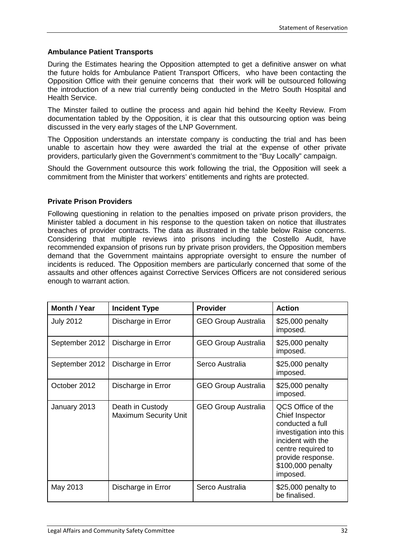#### **Ambulance Patient Transports**

During the Estimates hearing the Opposition attempted to get a definitive answer on what the future holds for Ambulance Patient Transport Officers, who have been contacting the Opposition Office with their genuine concerns that their work will be outsourced following the introduction of a new trial currently being conducted in the Metro South Hospital and Health Service.

The Minster failed to outline the process and again hid behind the Keelty Review. From documentation tabled by the Opposition, it is clear that this outsourcing option was being discussed in the very early stages of the LNP Government.

The Opposition understands an interstate company is conducting the trial and has been unable to ascertain how they were awarded the trial at the expense of other private providers, particularly given the Government's commitment to the "Buy Locally" campaign.

Should the Government outsource this work following the trial, the Opposition will seek a commitment from the Minister that workers' entitlements and rights are protected.

#### **Private Prison Providers**

Following questioning in relation to the penalties imposed on private prison providers, the Minister tabled a document in his response to the question taken on notice that illustrates breaches of provider contracts. The data as illustrated in the table below Raise concerns. Considering that multiple reviews into prisons including the Costello Audit, have recommended expansion of prisons run by private prison providers, the Opposition members demand that the Government maintains appropriate oversight to ensure the number of incidents is reduced. The Opposition members are particularly concerned that some of the assaults and other offences against Corrective Services Officers are not considered serious enough to warrant action.

| <b>Month / Year</b> | <b>Incident Type</b>                             | <b>Provider</b>            | <b>Action</b>                                                                                                                                                                        |
|---------------------|--------------------------------------------------|----------------------------|--------------------------------------------------------------------------------------------------------------------------------------------------------------------------------------|
| <b>July 2012</b>    | Discharge in Error                               | <b>GEO Group Australia</b> | \$25,000 penalty<br>imposed.                                                                                                                                                         |
| September 2012      | Discharge in Error                               | <b>GEO Group Australia</b> | \$25,000 penalty<br>imposed.                                                                                                                                                         |
| September 2012      | Discharge in Error                               | Serco Australia            | \$25,000 penalty<br>imposed.                                                                                                                                                         |
| October 2012        | Discharge in Error                               | <b>GEO Group Australia</b> | \$25,000 penalty<br>imposed.                                                                                                                                                         |
| January 2013        | Death in Custody<br><b>Maximum Security Unit</b> | <b>GEO Group Australia</b> | QCS Office of the<br>Chief Inspector<br>conducted a full<br>investigation into this<br>incident with the<br>centre required to<br>provide response.<br>\$100,000 penalty<br>imposed. |
| May 2013            | Discharge in Error                               | Serco Australia            | \$25,000 penalty to<br>be finalised.                                                                                                                                                 |